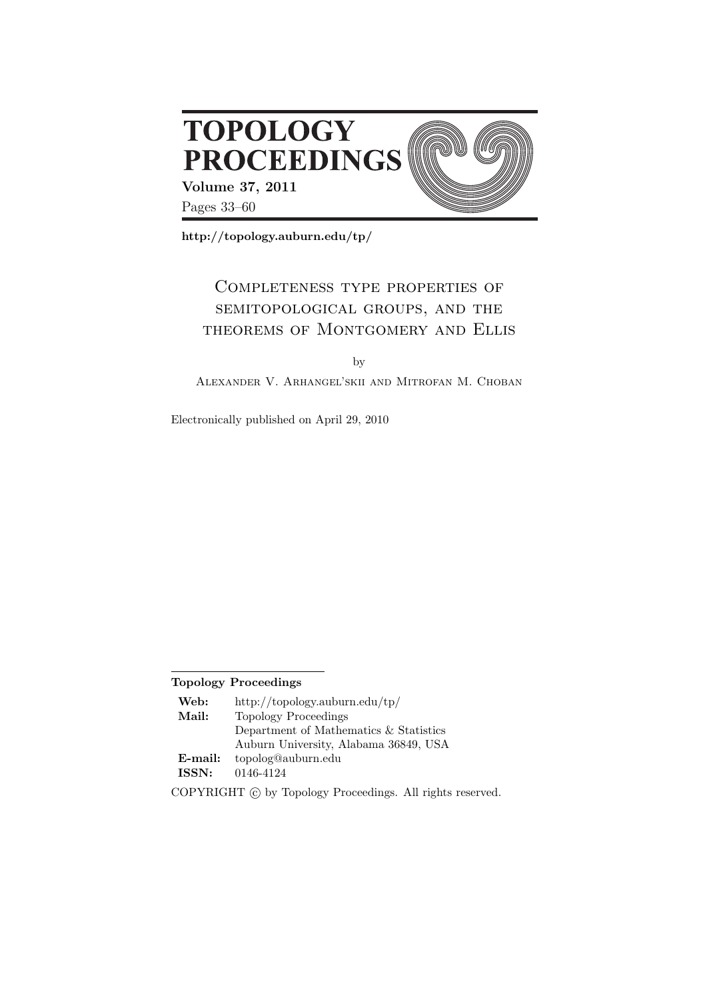

**http://topology.auburn.edu/tp/**

# Completeness type properties of semitopological groups, and the theorems of Montgomery and Ellis

by

Alexander V. Arhangel'skii and Mitrofan M. Choban

Electronically published on April 29, 2010

# **Topology Proceedings**

| Web:    | http://topology.auburn.edu/tp/         |
|---------|----------------------------------------|
| Mail:   | Topology Proceedings                   |
|         | Department of Mathematics & Statistics |
|         | Auburn University, Alabama 36849, USA  |
| E-mail: | topolog@auburn.edu                     |
| ISSN:   | 0146-4124                              |

COPYRIGHT  $\odot$  by Topology Proceedings. All rights reserved.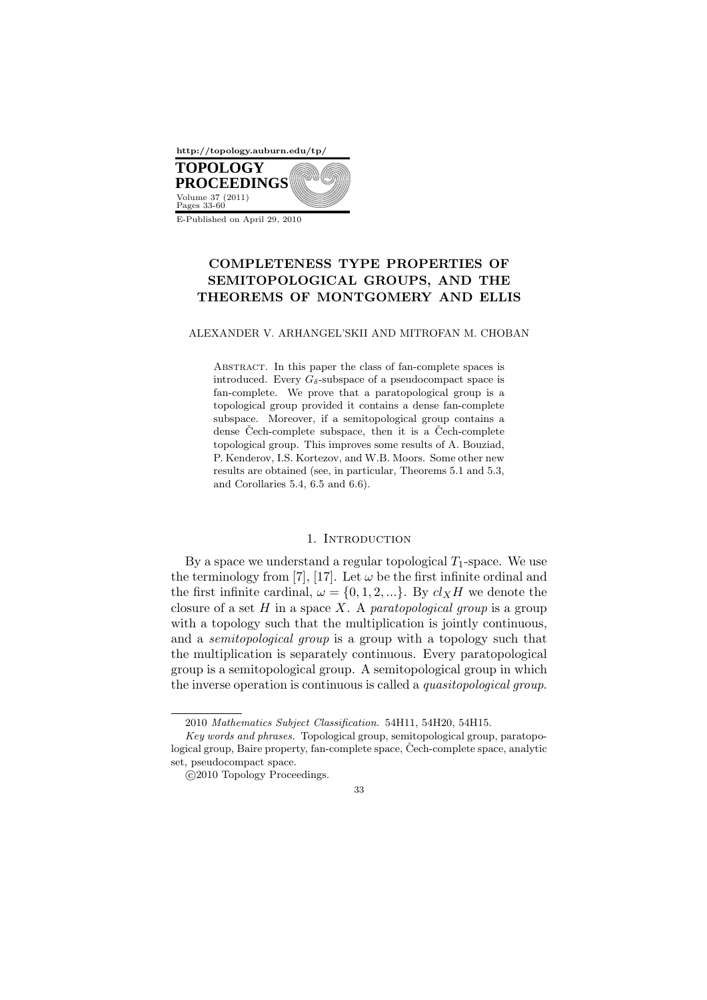

E-Published on April 29, 2010

# **COMPLETENESS TYPE PROPERTIES OF SEMITOPOLOGICAL GROUPS, AND THE THEOREMS OF MONTGOMERY AND ELLIS**

#### ALEXANDER V. ARHANGEL'SKII AND MITROFAN M. CHOBAN

Abstract. In this paper the class of fan-complete spaces is introduced. Every  $G_{\delta}$ -subspace of a pseudocompact space is fan-complete. We prove that a paratopological group is a topological group provided it contains a dense fan-complete subspace. Moreover, if a semitopological group contains a dense Čech-complete subspace, then it is a Čech-complete topological group. This improves some results of A. Bouziad, P. Kenderov, I.S. Kortezov, and W.B. Moors. Some other new results are obtained (see, in particular, Theorems 5.1 and 5.3, and Corollaries 5.4, 6.5 and 6.6).

#### 1. INTRODUCTION

By a space we understand a regular topological  $T_1$ -space. We use the terminology from [7], [17]. Let  $\omega$  be the first infinite ordinal and the first infinite cardinal,  $\omega = \{0, 1, 2, ...\}$ . By  $cl_XH$  we denote the closure of a set *H* in a space *X*. A *paratopological group* is a group with a topology such that the multiplication is jointly continuous, and a *semitopological group* is a group with a topology such that the multiplication is separately continuous. Every paratopological group is a semitopological group. A semitopological group in which the inverse operation is continuous is called a *quasitopological group*.

 $©2010 Topology Proceedings.$ 



<sup>2010</sup> *Mathematics Subject Classification.* 54H11, 54H20, 54H15.

*Key words and phrases.* Topological group, semitopological group, paratopological group, Baire property, fan-complete space, Čech-complete space, analytic set, pseudocompact space.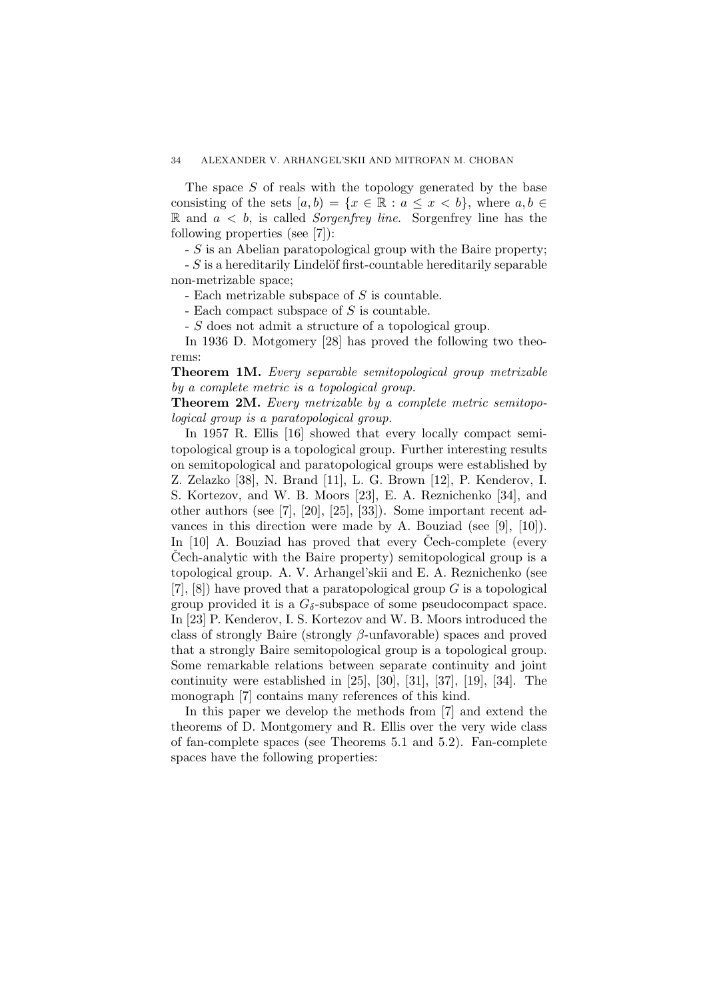The space *S* of reals with the topology generated by the base consisting of the sets  $[a, b) = \{x \in \mathbb{R} : a \leq x \leq b\}$ , where  $a, b \in \mathbb{R}$ R and *a < b*, is called *Sorgenfrey line*. Sorgenfrey line has the following properties (see [7]):

- *S* is an Abelian paratopological group with the Baire property;

 $-S$  is a hereditarily Lindelöf first-countable hereditarily separable non-metrizable space;

- Each metrizable subspace of *S* is countable.

- Each compact subspace of *S* is countable.

- *S* does not admit a structure of a topological group.

In 1936 D. Motgomery [28] has proved the following two theorems:

**Theorem 1M.** *Every separable semitopological group metrizable by a complete metric is a topological group.*

**Theorem 2M.** *Every metrizable by a complete metric semitopological group is a paratopological group.*

In 1957 R. Ellis [16] showed that every locally compact semitopological group is a topological group. Further interesting results on semitopological and paratopological groups were established by Z. Zelazko [38], N. Brand [11], L. G. Brown [12], P. Kenderov, I. S. Kortezov, and W. B. Moors [23], E. A. Reznichenko [34], and other authors (see [7], [20], [25], [33]). Some important recent advances in this direction were made by A. Bouziad (see [9], [10]). In  $[10]$  A. Bouziad has proved that every Cech-complete (every Cech-analytic with the Baire property) semitopological group is a topological group. A. V. Arhangel'skii and E. A. Reznichenko (see [7], [8]) have proved that a paratopological group *G* is a topological group provided it is a  $G_{\delta}$ -subspace of some pseudocompact space. In [23] P. Kenderov, I. S. Kortezov and W. B. Moors introduced the class of strongly Baire (strongly *β*-unfavorable) spaces and proved that a strongly Baire semitopological group is a topological group. Some remarkable relations between separate continuity and joint continuity were established in [25], [30], [31], [37], [19], [34]. The monograph [7] contains many references of this kind.

In this paper we develop the methods from [7] and extend the theorems of D. Montgomery and R. Ellis over the very wide class of fan-complete spaces (see Theorems 5.1 and 5.2). Fan-complete spaces have the following properties: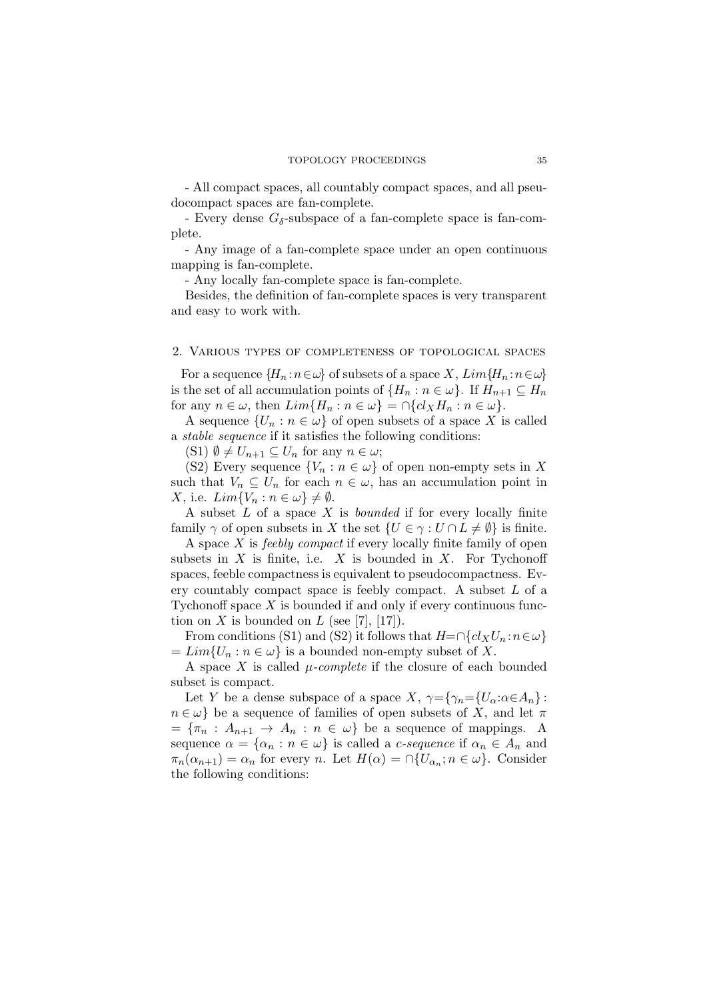- All compact spaces, all countably compact spaces, and all pseudocompact spaces are fan-complete.

- Every dense  $G_{\delta}$ -subspace of a fan-complete space is fan-complete.

- Any image of a fan-complete space under an open continuous mapping is fan-complete.

- Any locally fan-complete space is fan-complete.

Besides, the definition of fan-complete spaces is very transparent and easy to work with.

#### 2. Various types of completeness of topological spaces

For a sequence  ${H_n : n \in \omega}$  of subsets of a space *X*,  $Lim{H_n : n \in \omega}$ is the set of all accumulation points of  ${H_n : n \in \omega}$ . If  $H_{n+1} \subseteq H_n$ for any  $n \in \omega$ , then  $Lim{H_n : n \in \omega} = \bigcap \{cl_X H_n : n \in \omega\}.$ 

A sequence  $\{U_n : n \in \omega\}$  of open subsets of a space X is called a *stable sequence* if it satisfies the following conditions:

 $(S1)$   $\emptyset \neq U_{n+1} \subseteq U_n$  for any  $n \in \omega$ ;

(S2) Every sequence  $\{V_n : n \in \omega\}$  of open non-empty sets in X such that  $V_n \subseteq U_n$  for each  $n \in \omega$ , has an accumulation point in  $X$ , i.e.  $Lim{V_n: n \in \omega} \neq \emptyset$ .

A subset *L* of a space *X* is *bounded* if for every locally finite family  $\gamma$  of open subsets in *X* the set  $\{U \in \gamma : U \cap L \neq \emptyset\}$  is finite.

A space *X* is *feebly compact* if every locally finite family of open subsets in *X* is finite, i.e. *X* is bounded in *X*. For Tychonoff spaces, feeble compactness is equivalent to pseudocompactness. Every countably compact space is feebly compact. A subset *L* of a Tychonoff space *X* is bounded if and only if every continuous function on *X* is bounded on *L* (see [7], [17]).

From conditions (S1) and (S2) it follows that  $H=\bigcap \{cl_X U_n : n \in \omega\}$  $= Lim\{U_n : n \in \omega\}$  is a bounded non-empty subset of X.

A space *X* is called *µ-complete* if the closure of each bounded subset is compact.

Let *Y* be a dense subspace of a space *X*,  $\gamma = \{\gamma_n = \{U_\alpha : \alpha \in A_n\}$ :  $n \in \omega$  be a sequence of families of open subsets of *X*, and let  $\pi$  $= {\pi_n : A_{n+1} \to A_n : n \in \omega}$  be a sequence of mappings. A sequence  $\alpha = {\alpha_n : n \in \omega}$  is called a *c*-sequence if  $\alpha_n \in A_n$  and  $\pi_n(\alpha_{n+1}) = \alpha_n$  for every *n*. Let  $H(\alpha) = \bigcap \{U_{\alpha_n}; n \in \omega\}$ . Consider the following conditions: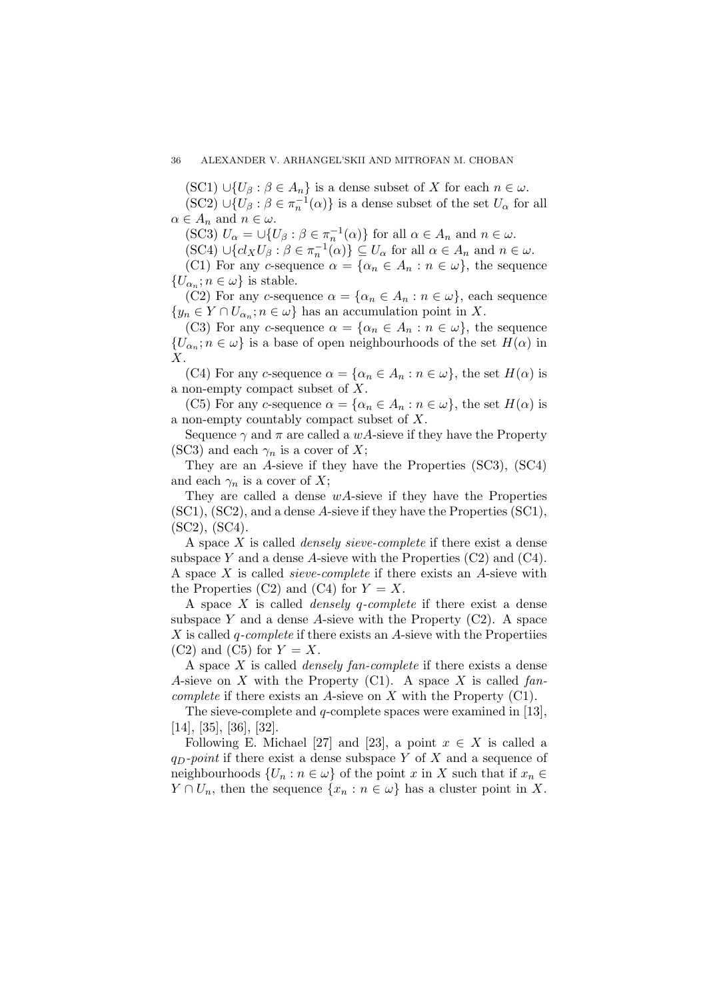$(SC1) \cup \{U_\beta : \beta \in A_n\}$  is a dense subset of *X* for each  $n \in \omega$ .

 $(SC2) \cup \{U_\beta : \beta \in \pi_n^{-1}(\alpha)\}\$ is a dense subset of the set  $U_\alpha$  for all  $\alpha \in A_n$  and  $n \in \omega$ .

(SC3)  $U_{\alpha} = \bigcup \{ U_{\beta} : \beta \in \pi_n^{-1}(\alpha) \}$  for all  $\alpha \in A_n$  and  $n \in \omega$ .

 $(SC4) \cup \{cl_XU_\beta : \beta \in \pi_n^{-1}(\alpha)\} \subseteq U_\alpha$  for all  $\alpha \in A_n$  and  $n \in \omega$ .

(C1) For any *c*-sequence  $\alpha = {\alpha_n \in A_n : n \in \omega}$ , the sequence  $\{U_{\alpha_n}; n \in \omega\}$  is stable.

(C2) For any *c*-sequence  $\alpha = {\alpha_n \in A_n : n \in \omega}$ , each sequence  ${y_n \in Y \cap U_{\alpha_n}; n \in \omega}$  has an accumulation point in *X*.

(C3) For any *c*-sequence  $\alpha = {\alpha_n \in A_n : n \in \omega}$ , the sequence  ${U_{\alpha_n}}$ ;  $n \in \omega}$  is a base of open neighbourhoods of the set *H*(*α*) in *X*.

(C4) For any *c*-sequence  $\alpha = {\alpha_n \in A_n : n \in \omega}$ , the set  $H(\alpha)$  is a non-empty compact subset of *X*.

(C5) For any *c*-sequence  $\alpha = {\alpha_n \in A_n : n \in \omega}$ , the set  $H(\alpha)$  is a non-empty countably compact subset of *X*.

Sequence  $\gamma$  and  $\pi$  are called a *wA*-sieve if they have the Property (SC3) and each  $\gamma_n$  is a cover of *X*;

They are an *A*-sieve if they have the Properties (SC3), (SC4) and each  $\gamma_n$  is a cover of X;

They are called a dense *wA*-sieve if they have the Properties (SC1), (SC2), and a dense *A*-sieve if they have the Properties (SC1), (SC2), (SC4).

A space *X* is called *densely sieve-complete* if there exist a dense subspace *Y* and a dense *A*-sieve with the Properties (C2) and (C4). A space *X* is called *sieve-complete* if there exists an *A*-sieve with the Properties (C2) and (C4) for  $Y = X$ .

A space *X* is called *densely q-complete* if there exist a dense subspace *Y* and a dense *A*-sieve with the Property (C2). A space *X* is called *q-complete* if there exists an *A*-sieve with the Propertiies  $(C2)$  and  $(C5)$  for  $Y = X$ .

A space *X* is called *densely fan-complete* if there exists a dense *A*-sieve on *X* with the Property (C1). A space *X* is called *fancomplete* if there exists an *A*-sieve on *X* with the Property (C1).

The sieve-complete and *q*-complete spaces were examined in [13], [14], [35], [36], [32].

Following E. Michael [27] and [23], a point  $x \in X$  is called a *qD-point* if there exist a dense subspace *Y* of *X* and a sequence of neighbourhoods  $\{U_n : n \in \omega\}$  of the point *x* in *X* such that if  $x_n \in$ *Y* ∩ *U<sub>n</sub>*, then the sequence  $\{x_n : n \in \omega\}$  has a cluster point in *X*.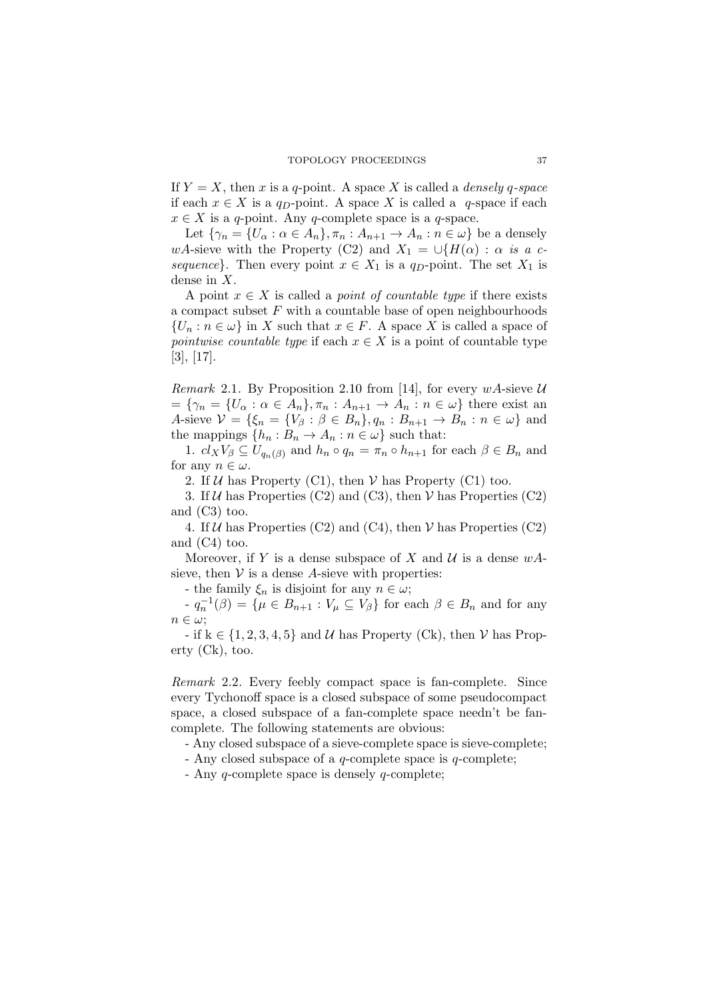If  $Y = X$ , then *x* is a *q*-point. A space *X* is called a *densely q*-space if each *x ∈ X* is a *qD*-point. A space *X* is called a *q*-space if each  $x \in X$  is a *q*-point. Any *q*-complete space is a *q*-space.

Let  $\{\gamma_n = \{U_\alpha : \alpha \in A_n\}, \pi_n : A_{n+1} \to A_n : n \in \omega\}$  be a densely *wA*-sieve with the Property (C2) and  $X_1 = \bigcup \{H(\alpha) : \alpha \text{ is a } c$ *sequence*}. Then every point  $x \in X_1$  is a *q<sub>D</sub>*-point. The set  $X_1$  is dense in *X*.

A point  $x \in X$  is called a *point of countable type* if there exists a compact subset *F* with a countable base of open neighbourhoods  ${U_n : n \in \omega}$  in *X* such that  $x \in F$ . A space *X* is called a space of *pointwise countable type* if each  $x \in X$  is a point of countable type [3], [17].

*Remark* 2.1. By Proposition 2.10 from [14], for every  $wA$ -sieve  $U$  $= {\gamma_n} = \{U_\alpha : \alpha \in A_n\}, \pi_n : A_{n+1} \to A_n : n \in \omega\}$  there exist an A-sieve  $V = \{\xi_n = \{V_\beta : \beta \in B_n\}, q_n : B_{n+1} \to B_n : n \in \omega\}$  and the mappings  $\{h_n : B_n \to A_n : n \in \omega\}$  such that:

1.  $cl_X V_\beta \subseteq U_{q_n(\beta)}$  and  $h_n \circ q_n = \pi_n \circ h_{n+1}$  for each  $\beta \in B_n$  and for any  $n \in \omega$ .

2. If  $U$  has Property (C1), then  $V$  has Property (C1) too.

3. If *U* has Properties (C2) and (C3), then *V* has Properties (C2) and (C3) too.

4. If  $U$  has Properties (C2) and (C4), then  $V$  has Properties (C2) and (C4) too.

Moreover, if *Y* is a dense subspace of *X* and  $U$  is a dense  $wA$ sieve, then  $V$  is a dense A-sieve with properties:

- the family  $\xi_n$  is disjoint for any  $n \in \omega$ ;

*n*<sup>−</sup> $q_n^{-1}(\beta) = \{ \mu \in B_{n+1} : V_\mu \subseteq V_\beta \}$  for each  $\beta \in B_n$  and for any *n ∈ ω*;

- if k *∈ {*1*,* 2*,* 3*,* 4*,* 5*}* and *U* has Property (Ck), then *V* has Property (Ck), too.

*Remark* 2.2*.* Every feebly compact space is fan-complete. Since every Tychonoff space is a closed subspace of some pseudocompact space, a closed subspace of a fan-complete space needn't be fancomplete. The following statements are obvious:

- Any closed subspace of a sieve-complete space is sieve-complete;

- Any closed subspace of a *q*-complete space is *q*-complete;

- Any *q*-complete space is densely *q*-complete;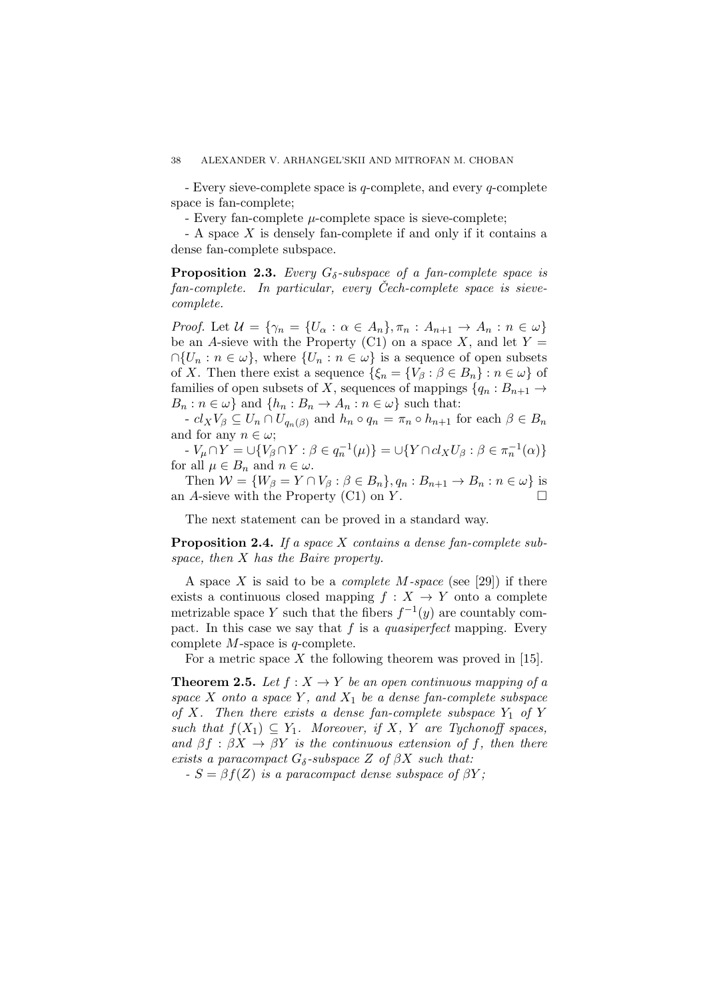- Every sieve-complete space is *q*-complete, and every *q*-complete space is fan-complete;

- Every fan-complete *µ*-complete space is sieve-complete;

- A space *X* is densely fan-complete if and only if it contains a dense fan-complete subspace.

**Proposition 2.3.** *Every Gδ-subspace of a fan-complete space is fan-complete.* In particular, every Cech-complete space is sieve*complete.*

*Proof.* Let  $\mathcal{U} = \{ \gamma_n = \{U_\alpha : \alpha \in A_n \}, \pi_n : A_{n+1} \to A_n : n \in \omega \}$ be an *A*-sieve with the Property (C1) on a space  $X$ , and let  $Y =$  $∩{U_n : n \in \omega}$ , where  ${U_n : n \in \omega}$  is a sequence of open subsets of *X*. Then there exist a sequence  $\{\xi_n = \{V_\beta : \beta \in B_n\} : n \in \omega\}$  of families of open subsets of *X*, sequences of mappings  ${q_n : B_{n+1} \to A}$  $B_n: n \in \omega$  and  $\{h_n: B_n \to A_n: n \in \omega\}$  such that:

 $- c l_X V_\beta \subseteq U_n \cap U_{q_n(\beta)}$  and  $h_n \circ q_n = \pi_n \circ h_{n+1}$  for each  $\beta \in B_n$ and for any  $n \in \omega$ ;

-  $V_{\mu} \cap Y = \bigcup \{ V_{\beta} \cap Y : \beta \in q_n^{-1}(\mu) \} = \bigcup \{ Y \cap cl_X U_{\beta} : \beta \in \pi_n^{-1}(\alpha) \}$ for all  $\mu \in B_n$  and  $n \in \omega$ .

Then  $W = \{W_{\beta} = Y \cap V_{\beta} : \beta \in B_n\}, q_n : B_{n+1} \to B_n : n \in \omega\}$  is an *A*-sieve with the Property (C1) on *Y* .

The next statement can be proved in a standard way.

**Proposition 2.4.** *If a space X contains a dense fan-complete subspace, then X has the Baire property.*

A space *X* is said to be a *complete M-space* (see [29]) if there exists a continuous closed mapping  $f: X \rightarrow Y$  onto a complete metrizable space *Y* such that the fibers  $f^{-1}(y)$  are countably compact. In this case we say that *f* is a *quasiperfect* mapping. Every complete *M*-space is *q*-complete.

For a metric space X the following theorem was proved in [15].

**Theorem 2.5.** Let  $f: X \to Y$  be an open continuous mapping of a *space X onto a space Y , and X*<sup>1</sup> *be a dense fan-complete subspace of X.* Then there exists a dense fan-complete subspace  $Y_1$  *of*  $Y$ *such that*  $f(X_1) \subseteq Y_1$ *. Moreover, if X, Y are Tychonoff spaces, and*  $\beta f : \beta X \rightarrow \beta Y$  *is the continuous extension of f, then there exists a paracompact*  $G_{\delta}$ *-subspace*  $Z$  *of*  $\beta X$  *such that:* 

 $S = \beta f(Z)$  *is a paracompact dense subspace of*  $\beta Y$ ;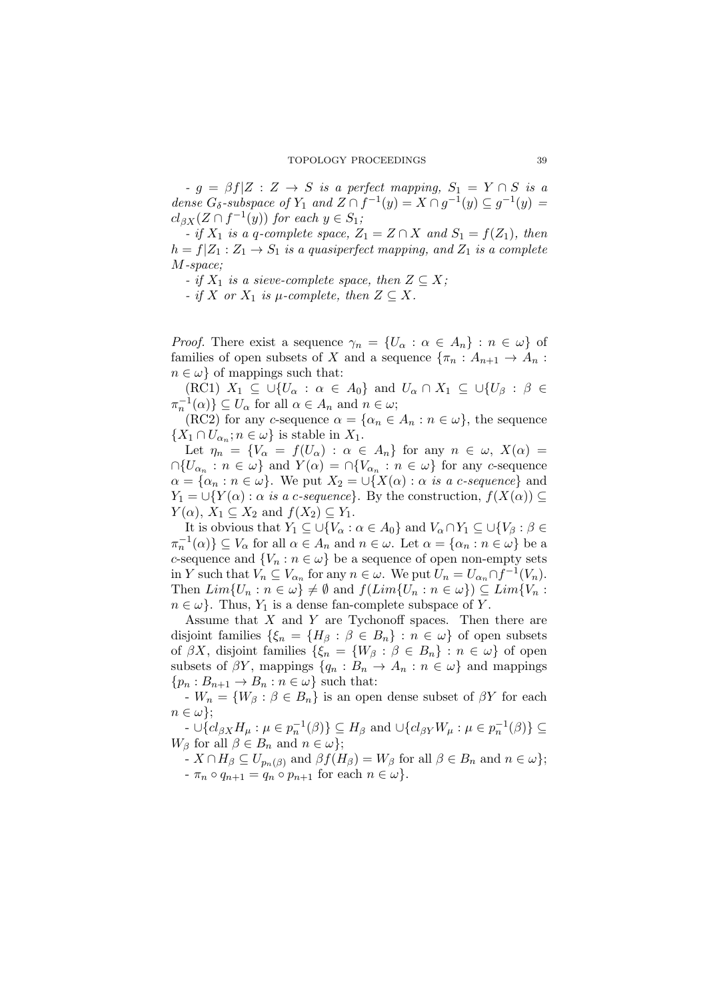$-g = \beta f | Z : Z \rightarrow S$  *is a perfect mapping,*  $S_1 = Y \cap S$  *is a dense*  $G_{\delta}$ -subspace of  $Y_1$  and  $Z \cap f^{-1}(y) = X \cap g^{-1}(y) \subseteq g^{-1}(y) =$  $cl_{\beta X}(Z \cap f^{-1}(y))$  *for each*  $y \in S_1$ *;* 

 $\bullet$  *if*  $X_1$  *is a q-complete space,*  $Z_1 = Z \cap X$  *and*  $S_1 = f(Z_1)$ *, then*  $h = f|Z_1 : Z_1 \rightarrow S_1$  *is a quasiperfect mapping, and*  $Z_1$  *is a complete M-space;*

*- if*  $X_1$  *is a sieve-complete space, then*  $Z \subseteq X$ ;

 *<i>if X or*  $X_1$  *is*  $\mu$ -*complete, then*  $Z \subseteq X$ *.* 

*Proof.* There exist a sequence  $\gamma_n = \{U_\alpha : \alpha \in A_n\} : n \in \omega\}$  of families of open subsets of *X* and a sequence  ${\pi_n : A_{n+1} \to A_n : A_n \to A_n}$  $n \in \omega$  *of mappings such that:* 

 $(KC1)$   $X_1 \subseteq \bigcup \{U_\alpha : \alpha \in A_0\}$  and  $U_\alpha \cap X_1 \subseteq \bigcup \{U_\beta : \beta \in A_0\}$  $\pi_n^{-1}(\alpha)$   $\subseteq$  *U*<sub>*a*</sub> for all  $\alpha \in A_n$  and  $n \in \omega$ ;

 $(RC2)$  for any *c*-sequence  $\alpha = {\alpha_n \in A_n : n \in \omega}$ , the sequence  $\{X_1 \cap U_{\alpha_n}; n \in \omega\}$  is stable in  $X_1$ .

Let  $\eta_n = \{V_\alpha = f(U_\alpha) : \alpha \in A_n\}$  for any  $n \in \omega$ ,  $X(\alpha) =$  $∩{U_{\alpha_n} : n \in \omega}$  and  $Y(\alpha) = ∩{V_{\alpha_n} : n \in \omega}$  for any *c*-sequence  $\alpha = {\alpha_n : n \in \omega}$ . We put  $X_2 = \bigcup \{X(\alpha) : \alpha \text{ is a } c\text{-sequence}\}$  and  $Y_1 = \bigcup \{ Y(\alpha) : \alpha \text{ is a } c\text{-sequence} \}.$  By the construction,  $f(X(\alpha)) \subseteq$  $Y(\alpha)$ ,  $X_1 \subseteq X_2$  and  $f(X_2) \subseteq Y_1$ .

It is obvious that  $Y_1 \subseteq \bigcup \{V_\alpha : \alpha \in A_0\}$  and  $V_\alpha \cap Y_1 \subseteq \bigcup \{V_\beta : \beta \in A_0\}$  $\pi_n^{-1}(\alpha)$   $\subseteq$  *V*<sub> $\alpha$ </sub> for all  $\alpha \in A_n$  and  $n \in \omega$ . Let  $\alpha = {\alpha_n : n \in \omega}$  be a *c*-sequence and  ${V_n : n \in \omega}$  be a sequence of open non-empty sets in *Y* such that  $V_n \subseteq V_{\alpha_n}$  for any  $n \in \omega$ . We put  $U_n = U_{\alpha_n} \cap f^{-1}(V_n)$ . Then  $Lim\{U_n : n \in \omega\} \neq \emptyset$  and  $f(Lim\{U_n : n \in \omega\}) \subseteq Lim\{V_n : n \in \Omega\}$  $n \in \omega$ . Thus,  $Y_1$  is a dense fan-complete subspace of *Y*.

Assume that *X* and *Y* are Tychonoff spaces. Then there are disjoint families  $\{\xi_n = \{H_\beta : \beta \in B_n\} : n \in \omega\}$  of open subsets of  $\beta X$ , disjoint families  $\{\xi_n = \{W_\beta : \beta \in B_n\} : n \in \omega\}$  of open subsets of  $\beta Y$ , mappings  $\{q_n : B_n \to A_n : n \in \omega\}$  and mappings  ${p_n : B_{n+1} \to B_n : n \in \omega}$  such that:

 $-W_n = \{W_\beta : \beta \in B_n\}$  is an open dense subset of  $\beta Y$  for each  $n \in \omega$ <sup>}</sup>;

-  $\cup \{cl_{\beta X}H_{\mu} : \mu \in p_{n}^{-1}(\beta)\} \subseteq H_{\beta}$  and  $\cup \{cl_{\beta Y}W_{\mu} : \mu \in p_{n}^{-1}(\beta)\} \subseteq$ *W*<sup>*β*</sup> for all  $\beta \in B_n$  and  $n \in \omega$ *}*;

 $\{X \cap H_{\beta} \subseteq U_{p_n(\beta)} \text{ and } \beta f(H_{\beta}) = W_{\beta} \text{ for all } \beta \in B_n \text{ and } n \in \omega\};$  $-\pi_n \circ q_{n+1} = q_n \circ p_{n+1}$  for each  $n \in \omega$ .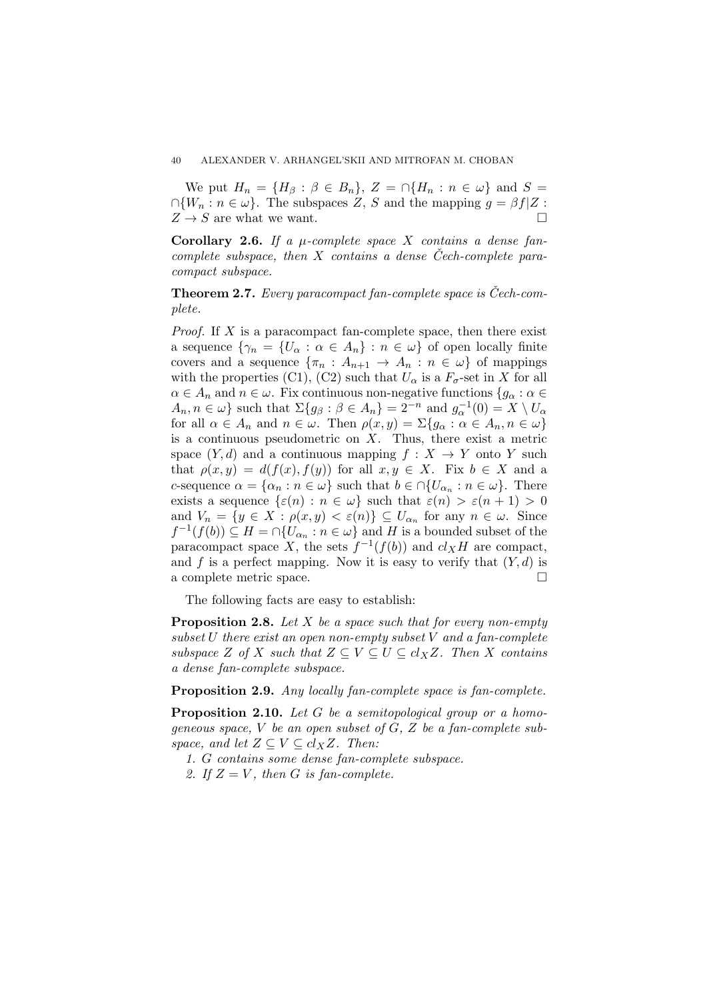We put  $H_n = \{H_\beta : \beta \in B_n\}, Z = \bigcap \{H_n : n \in \omega\}$  and  $S =$  $∩{W_n : n \in \omega}$ . The subspaces *Z*, *S* and the mapping  $q = \beta f|Z$ :  $Z \rightarrow S$  are what we want.

**Corollary 2.6.** *If a µ-complete space X contains a dense fancomplete subspace, then X contains a dense Cech-complete para- ˇ compact subspace.*

**Theorem 2.7.** *Every paracompact fan-complete space is Cech-com- ˇ plete.*

*Proof.* If X is a paracompact fan-complete space, then there exist a sequence  $\{\gamma_n = \{U_\alpha : \alpha \in A_n\} : n \in \omega\}$  of open locally finite covers and a sequence  ${\lbrace \pi_n : A_{n+1} \to A_n : n \in \omega \rbrace}$  of mappings with the properties (C1), (C2) such that  $U_{\alpha}$  is a  $F_{\sigma}$ -set in X for all  $\alpha \in A_n$  and  $n \in \omega$ . Fix continuous non-negative functions  $\{g_\alpha : \alpha \in A_n\}$  $A_n, n \in \omega$  such that  $\Sigma\{g_\beta : \beta \in A_n\} = 2^{-n}$  and  $g_\alpha^{-1}(0) = X \setminus U_\alpha$ for all  $\alpha \in A_n$  and  $n \in \omega$ . Then  $\rho(x, y) = \sum\{g_\alpha : \alpha \in A_n, n \in \omega\}$ is a continuous pseudometric on *X*. Thus, there exist a metric space  $(Y, d)$  and a continuous mapping  $f : X \to Y$  onto *Y* such that  $\rho(x, y) = d(f(x), f(y))$  for all  $x, y \in X$ . Fix  $b \in X$  and a *c*-sequence  $\alpha = {\alpha_n : n \in \omega}$  such that  $b \in \bigcap \{U_{\alpha_n} : n \in \omega\}$ . There exists a sequence  $\{\varepsilon(n) : n \in \omega\}$  such that  $\varepsilon(n) > \varepsilon(n+1) > 0$ and  $V_n = \{y \in X : \rho(x, y) < \varepsilon(n)\} \subseteq U_{\alpha_n}$  for any  $n \in \omega$ . Since  $f^{-1}(f(b)) \subseteq H = \bigcap \{U_{\alpha_n} : n \in \omega\}$  and *H* is a bounded subset of the paracompact space *X*, the sets  $f^{-1}(f(b))$  and  $cl_XH$  are compact, and f is a perfect mapping. Now it is easy to verify that  $(Y, d)$  is a complete metric space.

The following facts are easy to establish:

**Proposition 2.8.** *Let X be a space such that for every non-empty subset U there exist an open non-empty subset V and a fan-complete subspace Z of X such that*  $Z \subseteq V \subseteq U \subseteq cl_XZ$ *. Then X contains a dense fan-complete subspace.*

**Proposition 2.9.** *Any locally fan-complete space is fan-complete.*

**Proposition 2.10.** *Let G be a semitopological group or a homogeneous space, V be an open subset of G, Z be a fan-complete subspace, and let*  $Z \subseteq V \subseteq cl_XZ$ *. Then:* 

*1. G contains some dense fan-complete subspace.*

2. If  $Z = V$ , then G is fan-complete.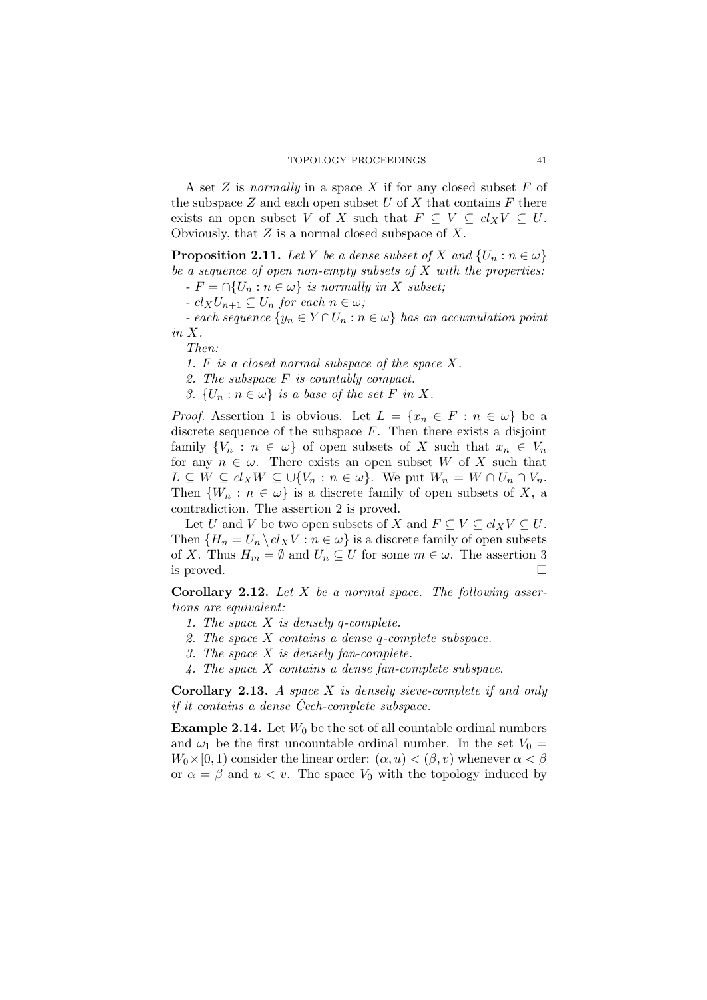A set *Z* is *normally* in a space *X* if for any closed subset *F* of the subspace  $Z$  and each open subset  $U$  of  $X$  that contains  $F$  there exists an open subset *V* of *X* such that  $F \subseteq V \subseteq cl_X V \subseteq U$ . Obviously, that *Z* is a normal closed subspace of *X*.

**Proposition 2.11.** *Let*  $Y$  *be a dense subset of*  $X$  *and*  $\{U_n : n \in \omega\}$ *be a sequence of open non-empty subsets of X with the properties:*

 $-F = \bigcap \{U_n : n \in \omega\}$  *is normally in X subset*;

 *<i>for each*  $n ∈ ω$ ;

*ach sequence*  $\{y_n \in Y \cap U_n : n \in \omega\}$  *has an accumulation point in X.*

*Then:*

*1. F is a closed normal subspace of the space X.*

*2. The subspace F is countably compact.*

*3.*  ${U_n : n \in \omega}$  *is a base of the set F in X.* 

*Proof.* Assertion 1 is obvious. Let  $L = \{x_n \in F : n \in \omega\}$  be a discrete sequence of the subspace *F*. Then there exists a disjoint family  ${V_n : n \in \omega}$  of open subsets of *X* such that  $x_n \in V_n$ for any  $n \in \omega$ . There exists an open subset *W* of *X* such that  $L \subseteq W \subseteq cl_X W \subseteq \cup \{V_n : n \in \omega\}$ . We put  $W_n = W \cap U_n \cap V_n$ . Then  ${W_n : n \in \omega}$  is a discrete family of open subsets of *X*, a contradiction. The assertion 2 is proved.

Let *U* and *V* be two open subsets of *X* and  $F \subseteq V \subseteq cl_X V \subseteq U$ . Then  ${H_n = U_n \backslash cl_X V : n \in \omega}$  is a discrete family of open subsets of *X*. Thus  $H_m = \emptyset$  and  $U_n \subseteq U$  for some  $m \in \omega$ . The assertion 3 is proved.

**Corollary 2.12.** *Let X be a normal space. The following assertions are equivalent:*

- *1. The space X is densely q-complete.*
- *2. The space X contains a dense q-complete subspace.*
- *3. The space X is densely fan-complete.*
- *4. The space X contains a dense fan-complete subspace.*

**Corollary 2.13.** *A space X is densely sieve-complete if and only if it contains a dense Cech-complete subspace. ˇ*

**Example 2.14.** Let  $W_0$  be the set of all countable ordinal numbers and  $\omega_1$  be the first uncountable ordinal number. In the set  $V_0 =$  $W_0 \times [0, 1)$  consider the linear order:  $(\alpha, u) < (\beta, v)$  whenever  $\alpha < \beta$ or  $\alpha = \beta$  and  $u < v$ . The space  $V_0$  with the topology induced by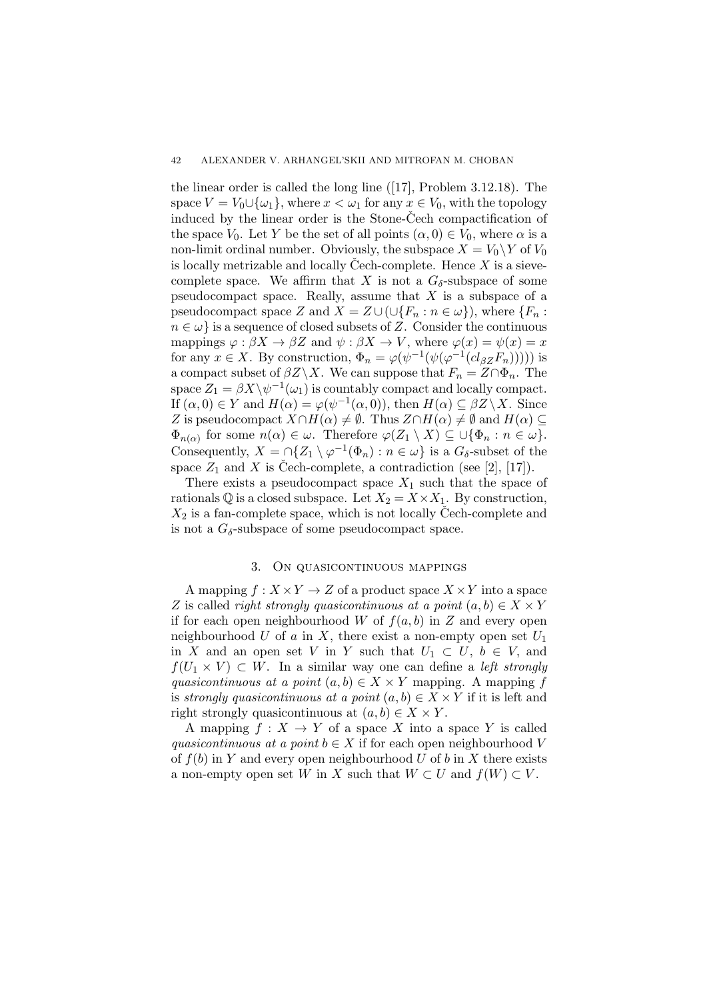the linear order is called the long line ([17], Problem 3.12.18). The space  $V = V_0 \cup \{\omega_1\}$ , where  $x < \omega_1$  for any  $x \in V_0$ , with the topology induced by the linear order is the Stone-Čech compactification of the space  $V_0$ . Let *Y* be the set of all points  $(\alpha, 0) \in V_0$ , where  $\alpha$  is a non-limit ordinal number. Obviously, the subspace  $X = V_0 \ Y$  of  $V_0$ is locally metrizable and locally Cech-complete. Hence  $X$  is a sievecomplete space. We affirm that *X* is not a  $G_{\delta}$ -subspace of some pseudocompact space. Really, assume that *X* is a subspace of a pseudocompact space *Z* and  $X = Z \cup (\cup \{F_n : n \in \omega\})$ , where  $\{F_n : n \in \omega\}$  $n \in \omega$  is a sequence of closed subsets of *Z*. Consider the continuous mappings  $\varphi : \beta X \to \beta Z$  and  $\psi : \beta X \to V$ , where  $\varphi(x) = \psi(x) = x$ for any  $x \in X$ . By construction,  $\Phi_n = \varphi(\psi^{-1}(\psi(\varphi^{-1}(cl_{\beta Z}F_n))))$  is a compact subset of  $\beta Z \backslash X$ . We can suppose that  $F_n = Z \cap \Phi_n$ . The space  $Z_1 = \beta X \backslash \psi^{-1}(\omega_1)$  is countably compact and locally compact. If  $(\alpha, 0) \in Y$  and  $H(\alpha) = \varphi(\psi^{-1}(\alpha, 0))$ , then  $H(\alpha) \subseteq \beta Z \setminus X$ . Since *Z* is pseudocompact  $X \cap H(\alpha) \neq \emptyset$ . Thus  $Z \cap H(\alpha) \neq \emptyset$  and  $H(\alpha) \subseteq$  $\Phi_{n(\alpha)}$  for some  $n(\alpha) \in \omega$ . Therefore  $\varphi(Z_1 \setminus X) \subseteq \cup \{\Phi_n : n \in \omega\}$ . Consequently,  $X = \bigcap \{Z_1 \setminus \varphi^{-1}(\Phi_n) : n \in \omega\}$  is a  $G_\delta$ -subset of the space  $Z_1$  and  $X$  is Čech-complete, a contradiction (see [2], [17]).

There exists a pseudocompact space  $X_1$  such that the space of rationals  $\mathbb{Q}$  is a closed subspace. Let  $X_2 = X \times X_1$ . By construction,  $X_2$  is a fan-complete space, which is not locally Cech-complete and is not a  $G_{\delta}$ -subspace of some pseudocompact space.

## 3. On quasicontinuous mappings

A mapping  $f: X \times Y \to Z$  of a product space  $X \times Y$  into a space *Z* is called *right strongly quasicontinuous at a point*  $(a, b) \in X \times Y$ if for each open neighbourhood *W* of  $f(a, b)$  in *Z* and every open neighbourhood *U* of *a* in *X*, there exist a non-empty open set *U*<sup>1</sup> in *X* and an open set *V* in *Y* such that  $U_1 \subset U$ ,  $b \in V$ , and  $f(U_1 \times V) \subset W$ . In a similar way one can define a *left strongly quasicontinuous at a point*  $(a, b) \in X \times Y$  mapping. A mapping *f* is *strongly quasicontinuous at a point*  $(a, b) \in X \times Y$  if it is left and right strongly quasicontinuous at  $(a, b) \in X \times Y$ .

A mapping  $f: X \to Y$  of a space X into a space Y is called *quasicontinuous at a point*  $b \in X$  if for each open neighbourhood *V* of  $f(b)$  in *Y* and every open neighbourhood *U* of *b* in *X* there exists a non-empty open set *W* in *X* such that  $W \subset U$  and  $f(W) \subset V$ .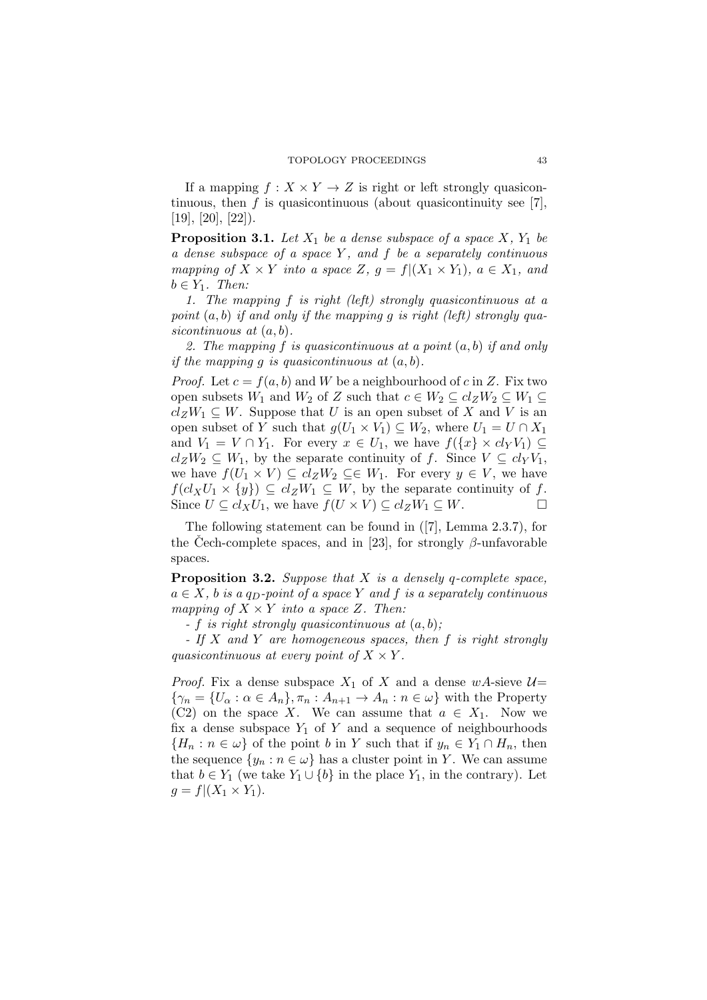If a mapping  $f : X \times Y \to Z$  is right or left strongly quasicontinuous, then  $f$  is quasicontinuous (about quasicontinuity see [7],  $[19]$ ,  $[20]$ ,  $[22]$ ).

**Proposition 3.1.** Let  $X_1$  be a dense subspace of a space  $X$ ,  $Y_1$  be *a dense subspace of a space Y , and f be a separately continuous mapping of*  $X \times Y$  *into a space*  $Z$ *,*  $g = f|(X_1 \times Y_1)$ *,*  $a \in X_1$ *, and*  $b \in Y_1$ *. Then:* 

*1. The mapping f is right (left) strongly quasicontinuous at a point* (*a, b*) *if and only if the mapping g is right (left) strongly quasicontinuous at* (*a, b*)*.*

*2. The mapping f is quasicontinuous at a point* (*a, b*) *if and only if the mapping g is quasicontinuous at*  $(a, b)$ *.* 

*Proof.* Let  $c = f(a, b)$  and *W* be a neighbourhood of *c* in *Z*. Fix two open subsets  $W_1$  and  $W_2$  of  $Z$  such that  $c \in W_2 \subseteq cl_Z W_2 \subseteq W_1 \subseteq$  $cl_ZW_1 \subseteq W$ . Suppose that *U* is an open subset of *X* and *V* is an open subset of *Y* such that  $g(U_1 \times V_1) \subseteq W_2$ , where  $U_1 = U \cap X_1$ and  $V_1 = V \cap Y_1$ . For every  $x \in U_1$ , we have  $f(\lbrace x \rbrace \times cl_Y V_1) \subseteq$  $cl_ZW_2 \subseteq W_1$ , by the separate continuity of *f*. Since  $V \subseteq cl_YV_1$ , we have  $f(U_1 \times V) \subseteq cl_Z W_2 \subseteq \in W_1$ . For every  $y \in V$ , we have  $f(cl_X U_1 \times \{y\}) \subseteq cl_Z W_1 \subseteq W$ , by the separate continuity of *f*. Since  $U \subseteq cl_X U_1$ , we have  $f(U \times V) \subseteq cl_Z W_1 \subseteq W$ .

The following statement can be found in ([7], Lemma 2.3.7), for the Cech-complete spaces, and in [23], for strongly  $\beta$ -unfavorable spaces.

**Proposition 3.2.** *Suppose that X is a densely q-complete space,*  $a \in X$ , *b is a q<sub>D</sub>-point of a space Y and f is a separately continuous mapping of*  $X \times Y$  *into a space*  $Z$ *. Then:* 

*- f is right strongly quasicontinuous at* (*a, b*)*;*

*- If X and Y are homogeneous spaces, then f is right strongly quasicontinuous at every point of*  $X \times Y$ .

*Proof.* Fix a dense subspace  $X_1$  of  $X$  and a dense  $wA$ -sieve  $\mathcal{U}$ =  $\{\gamma_n = \{U_\alpha : \alpha \in A_n\}, \pi_n : A_{n+1} \to A_n : n \in \omega\}$  with the Property (C2) on the space *X*. We can assume that  $a \in X_1$ . Now we fix a dense subspace  $Y_1$  of  $Y$  and a sequence of neighbourhoods  ${H_n : n \in \omega}$  of the point *b* in *Y* such that if  $y_n \in Y_1 \cap H_n$ , then the sequence  $\{y_n : n \in \omega\}$  has a cluster point in *Y*. We can assume that  $b \in Y_1$  (we take  $Y_1 \cup \{b\}$  in the place  $Y_1$ , in the contrary). Let  $g = f|(X_1 \times Y_1).$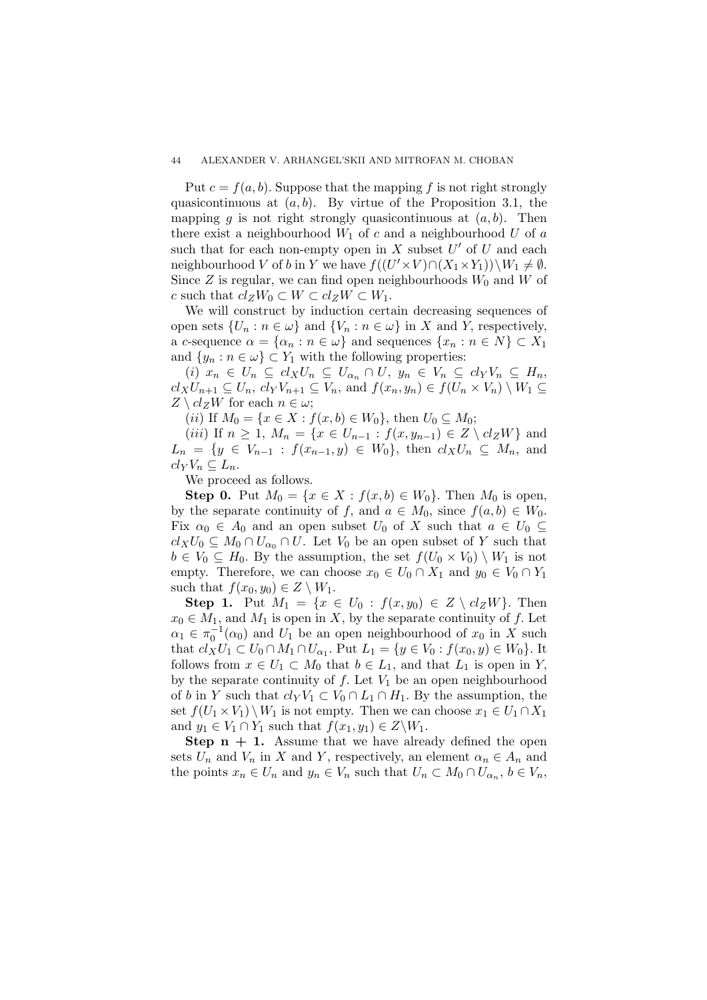Put  $c = f(a, b)$ . Suppose that the mapping f is not right strongly quasicontinuous at (*a, b*). By virtue of the Proposition 3.1, the mapping *g* is not right strongly quasicontinuous at  $(a, b)$ . Then there exist a neighbourhood  $W_1$  of  $c$  and a neighbourhood  $U$  of  $a$ such that for each non-empty open in  $X$  subset  $U'$  of  $U$  and each neighbourhood *V* of *b* in *Y* we have  $f((U' \times V) \cap (X_1 \times Y_1)) \setminus W_1 \neq \emptyset$ . Since  $Z$  is regular, we can find open neighbourhoods  $W_0$  and  $W$  of  $c$  such that  $cl_ZW_0 \subset W \subset cl_ZW \subset W_1$ .

We will construct by induction certain decreasing sequences of open sets  $\{U_n : n \in \omega\}$  and  $\{V_n : n \in \omega\}$  in *X* and *Y*, respectively, a *c*-sequence  $\alpha = {\alpha_n : n \in \omega}$  and sequences  ${x_n : n \in N} \subset X_1$ and  $\{y_n : n \in \omega\} \subset Y_1$  with the following properties:

(i)  $x_n \in U_n \subseteq cl_XU_n \subseteq U_{\alpha_n} \cap U$ ,  $y_n \in V_n \subseteq cl_YV_n \subseteq H_n$ ,  $cl_XU_{n+1} \subseteq U_n$ ,  $cl_YV_{n+1} \subseteq V_n$ , and  $f(x_n, y_n) \in f(U_n \times V_n) \setminus W_1 \subseteq$  $Z \setminus cl_ZW$  for each  $n \in \omega$ ;

 $(iii)$  If  $M_0 = \{x \in X : f(x, b) \in W_0\}$ , then  $U_0 \subseteq M_0$ ;

 $(iii)$  If  $n \geq 1$ ,  $M_n = \{x \in U_{n-1} : f(x, y_{n-1}) \in Z \setminus cl_ZW\}$  and  $L_n = \{y \in V_{n-1} : f(x_{n-1}, y) \in W_0\}$ , then  $cl_X U_n \subseteq M_n$ , and  $cl_YV_n \subseteq L_n$ .

We proceed as follows.

**Step 0.** Put  $M_0 = \{x \in X : f(x, b) \in W_0\}$ . Then  $M_0$  is open, by the separate continuity of *f*, and  $a \in M_0$ , since  $f(a, b) \in W_0$ . Fix  $\alpha_0 \in A_0$  and an open subset  $U_0$  of X such that  $a \in U_0 \subseteq$  $cl_XU_0 \subseteq M_0 \cap U_{\alpha_0} \cap U$ . Let *V*<sub>0</sub> be an open subset of *Y* such that  $b \in V_0 \subseteq H_0$ . By the assumption, the set  $f(U_0 \times V_0) \setminus W_1$  is not empty. Therefore, we can choose  $x_0 \in U_0 \cap X_1$  and  $y_0 \in V_0 \cap Y_1$ such that  $f(x_0, y_0) \in Z \setminus W_1$ .

**Step 1.** Put  $M_1 = \{x \in U_0 : f(x, y_0) \in Z \setminus cl_ZW\}$ . Then  $x_0 \in M_1$ , and  $M_1$  is open in *X*, by the separate continuity of *f*. Let  $\alpha_1 \in \pi_0^{-1}(\alpha_0)$  and  $U_1$  be an open neighbourhood of  $x_0$  in *X* such that  $cl_XU_1 \subset U_0 \cap M_1 \cap U_{\alpha_1}$ . Put  $L_1 = \{y \in V_0 : f(x_0, y) \in W_0\}$ . It follows from  $x \in U_1 \subset M_0$  that  $b \in L_1$ , and that  $L_1$  is open in *Y*, by the separate continuity of  $f$ . Let  $V_1$  be an open neighbourhood of *b* in *Y* such that  $cl_YV_1 \subset V_0 \cap L_1 \cap H_1$ . By the assumption, the set  $f(U_1 \times V_1) \setminus W_1$  is not empty. Then we can choose  $x_1 \in U_1 \cap X_1$ and  $y_1 \in V_1 \cap Y_1$  such that  $f(x_1, y_1) \in Z \backslash W_1$ .

**Step**  $n + 1$ **.** Assume that we have already defined the open sets  $U_n$  and  $V_n$  in  $X$  and  $Y$ , respectively, an element  $\alpha_n \in A_n$  and the points  $x_n \in U_n$  and  $y_n \in V_n$  such that  $U_n \subset M_0 \cap U_{\alpha_n}$ ,  $b \in V_n$ ,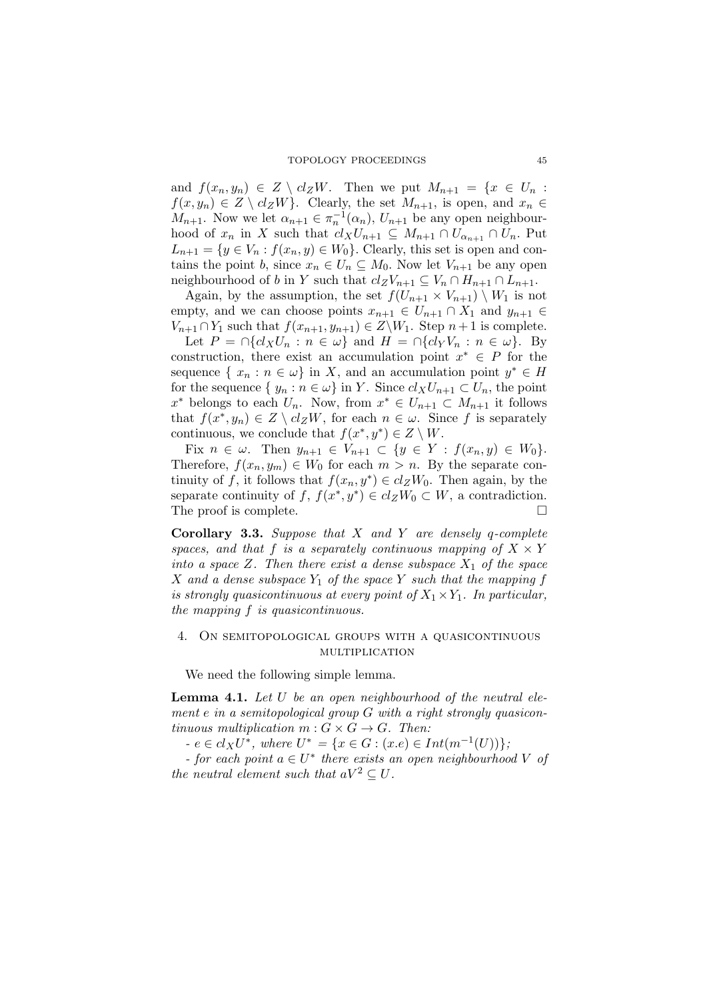and  $f(x_n, y_n) \in Z \setminus cl_ZW$ . Then we put  $M_{n+1} = \{x \in U_n :$  $f(x, y_n) \in Z \setminus cl_ZW$ . Clearly, the set  $M_{n+1}$ , is open, and  $x_n \in$ *M*<sub>*n*+1</sub>. Now we let  $\alpha_{n+1} \in \pi_n^{-1}(\alpha_n)$ ,  $U_{n+1}$  be any open neighbourhood of  $x_n$  in *X* such that  $cl_XU_{n+1} \subseteq M_{n+1} \cap U_{\alpha_{n+1}} \cap U_n$ . Put  $L_{n+1} = \{y \in V_n : f(x_n, y) \in W_0\}$ . Clearly, this set is open and contains the point *b*, since  $x_n \in U_n \subseteq M_0$ . Now let  $V_{n+1}$  be any open neighbourhood of *b* in *Y* such that  $cl_ZV_{n+1} \subseteq V_n \cap H_{n+1} \cap L_{n+1}$ .

Again, by the assumption, the set  $f(U_{n+1} \times V_{n+1}) \setminus W_1$  is not empty, and we can choose points  $x_{n+1} \in U_{n+1} \cap X_1$  and  $y_{n+1} \in$ *V*<sub>*n*+1</sub> ∩ *Y*<sub>1</sub> such that  $f(x_{n+1}, y_{n+1}) \in Z \setminus W_1$ . Step  $n+1$  is complete.

Let  $P = \bigcap \{cl_X U_n : n \in \omega \}$  and  $H = \bigcap \{cl_Y V_n : n \in \omega \}$ . By construction, there exist an accumulation point  $x^* \in P$  for the sequence  $\{x_n : n \in \omega\}$  in *X*, and an accumulation point  $y^* \in H$ for the sequence  $\{y_n : n \in \omega\}$  in *Y*. Since  $cl_XU_{n+1} \subset U_n$ , the point  $x^*$  belongs to each  $U_n$ . Now, from  $x^* \in U_{n+1} \subset M_{n+1}$  it follows that  $f(x^*, y_n) \in Z \setminus cl_ZW$ , for each  $n \in \omega$ . Since f is separately continuous, we conclude that  $f(x^*, y^*) \in Z \setminus W$ .

Fix  $n \in \omega$ . Then  $y_{n+1} \in V_{n+1} \subset \{y \in Y : f(x_n, y) \in W_0\}.$ Therefore,  $f(x_n, y_m) \in W_0$  for each  $m > n$ . By the separate continuity of *f*, it follows that  $f(x_n, y^*) \in cl_ZW_0$ . Then again, by the separate continuity of  $f, f(x^*, y^*) \in cl_Z W_0 \subset W$ , a contradiction. The proof is complete.

**Corollary 3.3.** *Suppose that X and Y are densely q-complete spaces, and that*  $f$  *is a separately continuous mapping of*  $X \times Y$ *into a space*  $Z$ *. Then there exist a dense subspace*  $X_1$  *of the space X* and a dense subspace  $Y_1$  *of the space*  $Y$  *such that the mapping*  $f$ *is strongly quasicontinuous at every point of*  $X_1 \times Y_1$ *. In particular, the mapping f is quasicontinuous.*

# 4. On semitopological groups with a quasicontinuous multiplication

We need the following simple lemma.

**Lemma 4.1.** *Let U be an open neighbourhood of the neutral element e in a semitopological group G with a right strongly quasicontinuous multiplication*  $m: G \times G \rightarrow G$ *. Then:* 

 $e \in cl_X U^*$ *, where*  $U^* = \{x \in G : (x.e) \in Int(m^{-1}(U))\}$ *;* 

*- for each point*  $a \in U^*$  *there exists an open neighbourhood V of the neutral element such that*  $aV^2 \n\subseteq U$ .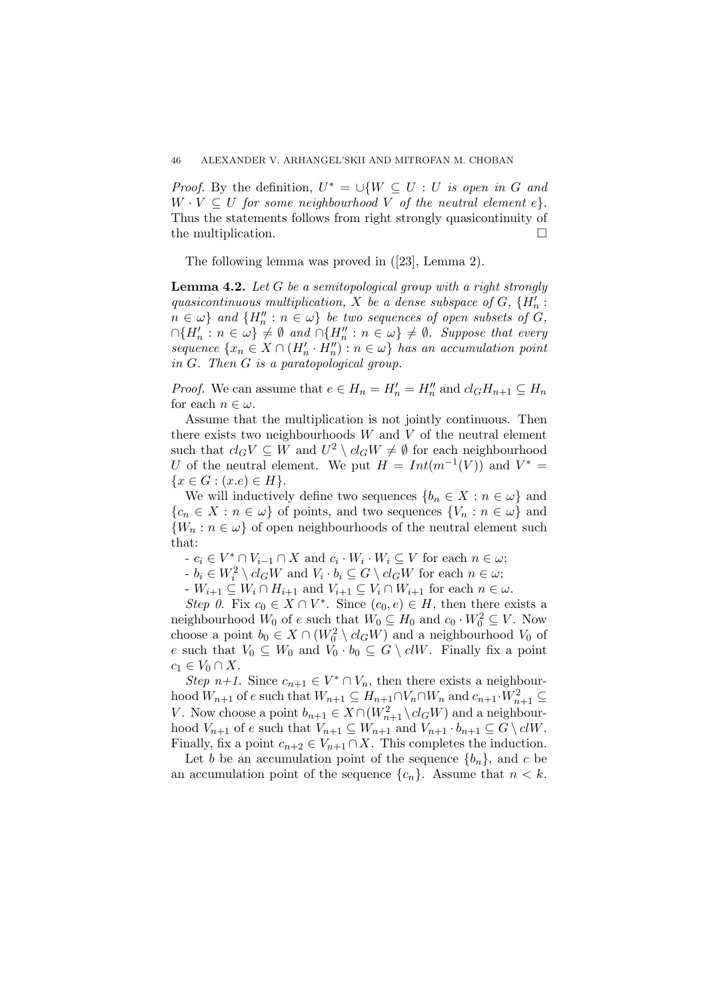*Proof.* By the definition,  $U^* = \bigcup \{ W \subseteq U : U \text{ is open in } G \text{ and } G \}$  $W \cdot V \subseteq U$  *for some neighbourhood*  $V$  *of the neutral element*  $e$ *}.* Thus the statements follows from right strongly quasicontinuity of the multiplication.

The following lemma was proved in ([23], Lemma 2).

**Lemma 4.2.** *Let G be a semitopological group with a right strongly quasicontinuous multiplication,*  $X$  *be a dense subspace of*  $G$ *,*  $\{H'_n:$  $n \in \omega$ <sup>}</sup> and  $\{H''_n : n \in \omega\}$  be two sequences of open subsets of *G,*  $\cap \{H'_n : n \in \omega\} \neq \emptyset \text{ and } \cap \{H''_n : n \in \omega\} \neq \emptyset$ . Suppose that every  $sequence \{x_n \in X \cap (H'_n \cdot H''_n) : n \in \omega\}$  *has an accumulation point in G. Then G is a paratopological group.*

*Proof.* We can assume that  $e \in H_n = H'_n = H''_n$  and  $cl_G H_{n+1} \subseteq H_n$ for each  $n \in \omega$ .

Assume that the multiplication is not jointly continuous. Then there exists two neighbourhoods *W* and *V* of the neutral element such that  $cl_GV \subseteq W$  and  $U^2 \setminus cl_GW \neq \emptyset$  for each neighbourhood *U* of the neutral element. We put  $H = Int(m^{-1}(V))$  and  $V^* =$  ${x \in G : (x.e) \in H}.$ 

We will inductively define two sequences  ${b_n \in X : n \in \omega}$  and  ${c_n \in X : n \in \omega}$  of points, and two sequences  ${V_n : n \in \omega}$  and  ${W_n : n \in \omega}$  of open neighbourhoods of the neutral element such that:

 $-c_i \in V^* \cap V_{i-1} \cap X$  and  $c_i \cdot W_i \cdot W_i \subseteq V$  for each  $n \in \omega$ ;

 $b_i \in W_i^2 \setminus cl_G W$  and  $V_i \cdot b_i \subseteq G \setminus cl_G W$  for each  $n \in \omega$ ;

 $V_{i+1} ⊆ W_i ∩ H_{i+1}$  and  $V_{i+1} ⊆ V_i ∩ W_{i+1}$  for each  $n ∈ ω$ .

*Step 0*. Fix  $c_0 \in X \cap V^*$ . Since  $(c_0, e) \in H$ , then there exists a neighbourhood  $W_0$  of  $e$  such that  $W_0 \subseteq H_0$  and  $c_0 \cdot W_0^2 \subseteq V$ . Now choose a point  $b_0 \in X \cap (W_0^2 \setminus cl_G W)$  and a neighbourhood  $V_0$  of *e* such that  $V_0 \subseteq W_0$  and  $V_0 \cdot b_0 \subseteq G \setminus c l W$ . Finally fix a point  $c_1$  ∈  $V_0$  ∩  $X$ .

*Step n+1.* Since  $c_{n+1} \in V^* \cap V_n$ , then there exists a neighbourhood  $W_{n+1}$  of  $e$  such that  $W_{n+1} \subseteq H_{n+1} \cap V_n \cap W_n$  and  $c_{n+1} \cdot W_{n+1}^2 \subseteq$ *V*. Now choose a point  $b_{n+1} \in X \cap (W_{n+1}^2 \setminus cl_G W)$  and a neighbourhood  $V_{n+1}$  of  $e$  such that  $V_{n+1} \subseteq W_{n+1}$  and  $V_{n+1} \cdot b_{n+1} \subseteq G \setminus \mathcal{C}W$ . Finally, fix a point  $c_{n+2} \in V_{n+1} \cap X$ . This completes the induction.

Let *b* be an accumulation point of the sequence  ${b_n}$ , and *c* be an accumulation point of the sequence  ${c_n}$ . Assume that  $n < k$ .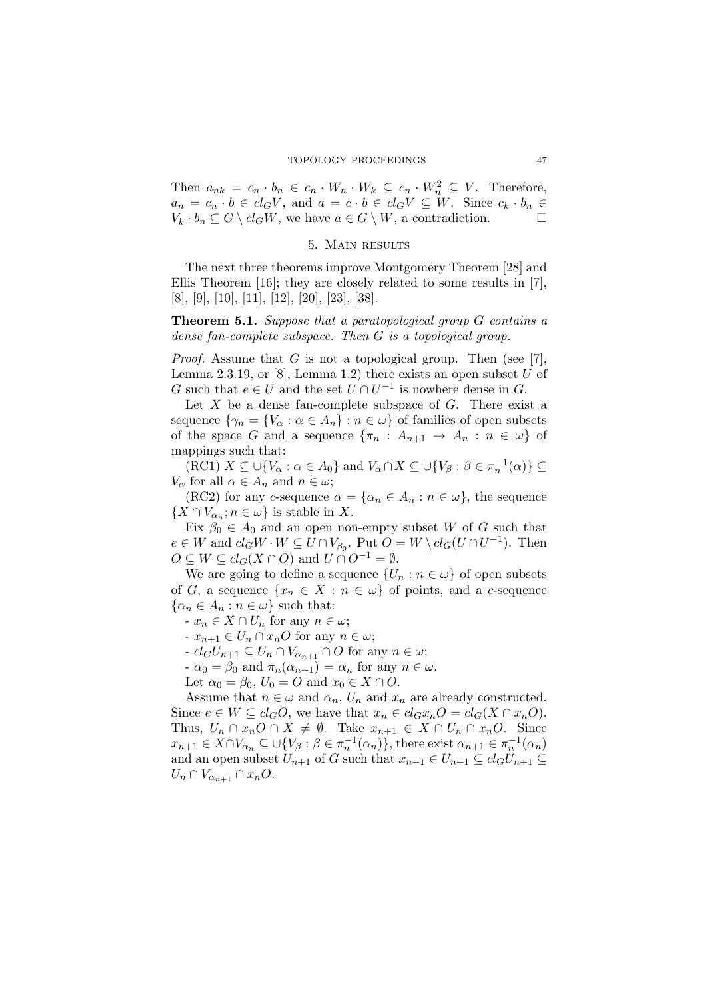Then  $a_{nk} = c_n \cdot b_n \in c_n \cdot W_n \cdot W_k \subseteq c_n \cdot W_n^2 \subseteq V$ . Therefore,  $a_n = c_n \cdot b \in cl_G V$ , and  $a = c \cdot b \in cl_G V \subseteq W$ . Since  $c_k \cdot b_n \in$  $V_k \cdot b_n \subseteq G \setminus cl_G W$ , we have  $a \in G \setminus W$ , a contradiction.

# 5. Main results

The next three theorems improve Montgomery Theorem [28] and Ellis Theorem [16]; they are closely related to some results in [7], [8], [9], [10], [11], [12], [20], [23], [38].

**Theorem 5.1.** *Suppose that a paratopological group G contains a dense fan-complete subspace. Then G is a topological group.*

*Proof.* Assume that *G* is not a topological group. Then (see [7], Lemma 2.3.19, or [8], Lemma 1.2) there exists an open subset *U* of *G* such that  $e \in U$  and the set  $U \cap U^{-1}$  is nowhere dense in *G*.

Let *X* be a dense fan-complete subspace of *G*. There exist a sequence  $\{\gamma_n = \{V_\alpha : \alpha \in A_n\} : n \in \omega\}$  of families of open subsets of the space *G* and a sequence  $\{\pi_n : A_{n+1} \to A_n : n \in \omega\}$  of mappings such that:

 $(KC1)$   $X \subseteq \bigcup \{V_\alpha : \alpha \in A_0\}$  and  $V_\alpha \cap X \subseteq \bigcup \{V_\beta : \beta \in \pi_n^{-1}(\alpha)\} \subseteq$ *V*<sup> $\alpha$ </sup> for all  $\alpha \in A_n$  and  $n \in \omega$ ;

(RC2) for any *c*-sequence  $\alpha = {\alpha_n \in A_n : n \in \omega}$ , the sequence  $\{X \cap V_{\alpha_n}; n \in \omega\}$  is stable in *X*.

Fix  $\beta_0 \in A_0$  and an open non-empty subset *W* of *G* such that  $e \in W$  and  $cl_GW \cdot W \subseteq U \cap V_{\beta_0}$ . Put  $O = W \setminus cl_G(U \cap U^{-1})$ . Then  $O \subseteq W \subseteq cl_G(X \cap O)$  and  $U \cap O^{-1} = \emptyset$ .

We are going to define a sequence  $\{U_n : n \in \omega\}$  of open subsets of *G*, a sequence  $\{x_n \in X : n \in \omega\}$  of points, and a *c*-sequence  $\{\alpha_n \in A_n : n \in \omega\}$  such that:

 $$ 

 $$ 

 $I \subset cl_G U_{n+1} \subseteq U_n \cap V_{\alpha_{n+1}} \cap O$  for any  $n \in \omega$ ;

 $-\alpha_0 = \beta_0$  and  $\pi_n(\alpha_{n+1}) = \alpha_n$  for any  $n \in \omega$ .

Let  $\alpha_0 = \beta_0$ ,  $U_0 = O$  and  $x_0 \in X \cap O$ .

Assume that  $n \in \omega$  and  $\alpha_n$ ,  $U_n$  and  $x_n$  are already constructed. Since  $e \in W \subseteq cl_G O$ , we have that  $x_n \in cl_G x_n O = cl_G (X \cap x_n O)$ . Thus,  $U_n \cap x_nO \cap X \neq \emptyset$ . Take  $x_{n+1} \in X \cap U_n \cap x_nO$ . Since  $x_{n+1} \in X \cap V_{\alpha_n} \subseteq \bigcup \{ V_\beta : \beta \in \pi_n^{-1}(\alpha_n) \},\$  there exist  $\alpha_{n+1} \in \pi_n^{-1}(\alpha_n)$ and an open subset  $U_{n+1}$  of *G* such that  $x_{n+1} \in U_{n+1} \subseteq cl_G U_{n+1} \subseteq$  $U_n \cap V_{\alpha_{n+1}} \cap x_nO$ .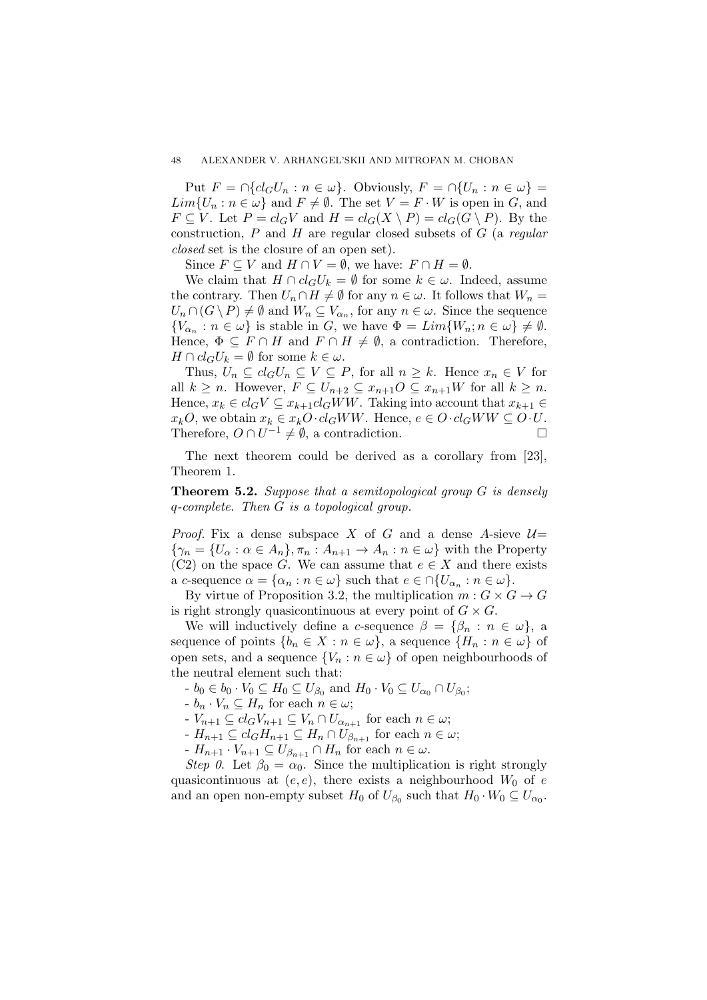Put  $F = \bigcap \{cl_G U_n : n \in \omega\}$ . Obviously,  $F = \bigcap \{U_n : n \in \omega\}$  $Lim{U_n : n \in \omega}$  and  $F \neq \emptyset$ . The set  $V = F \cdot W$  is open in *G*, and  $F \subseteq V$ . Let  $P = cl_G V$  and  $H = cl_G(X \setminus P) = cl_G(G \setminus P)$ . By the construction, *P* and *H* are regular closed subsets of *G* (a *regular closed* set is the closure of an open set).

Since  $F \subseteq V$  and  $H \cap V = \emptyset$ , we have:  $F \cap H = \emptyset$ .

We claim that  $H \cap cl_G U_k = \emptyset$  for some  $k \in \omega$ . Indeed, assume the contrary. Then  $U_n \cap H \neq \emptyset$  for any  $n \in \omega$ . It follows that  $W_n =$  $U_n \cap (G \setminus P) \neq \emptyset$  and  $W_n \subseteq V_{\alpha_n}$ , for any  $n \in \omega$ . Since the sequence  ${V_{\alpha_n} : n \in \omega}$  is stable in *G*, we have  $\Phi = Lim{W_n; n \in \omega} \neq \emptyset$ . Hence,  $\Phi \subseteq F \cap H$  and  $F \cap H \neq \emptyset$ , a contradiction. Therefore, *H*  $\cap$  *cl*<sub>*G*</sub>*U*<sub>*k*</sub> =  $\emptyset$  for some  $k \in \omega$ .

Thus,  $U_n \subseteq cl_G U_n \subseteq V \subseteq P$ , for all  $n \geq k$ . Hence  $x_n \in V$  for all  $k \geq n$ . However,  $F \subseteq U_{n+2} \subseteq x_{n+1}O \subseteq x_{n+1}W$  for all  $k \geq n$ . Hence,  $x_k \in cl_G V \subseteq x_{k+1}cl_G WW$ . Taking into account that  $x_{k+1} \in$  $x_k O$ , we obtain  $x_k \in x_k O \cdot cl_G W W$ . Hence,  $e \in O \cdot cl_G W W \subseteq O \cdot U$ . Therefore,  $O \cap U^{-1} \neq \emptyset$ , a contradiction.

The next theorem could be derived as a corollary from [23], Theorem 1.

**Theorem 5.2.** *Suppose that a semitopological group G is densely q-complete. Then G is a topological group.*

*Proof.* Fix a dense subspace *X* of *G* and a dense *A*-sieve  $U=$  $\{\gamma_n = \{U_\alpha : \alpha \in A_n\}, \pi_n : A_{n+1} \to A_n : n \in \omega\}$  with the Property (C2) on the space *G*. We can assume that  $e \in X$  and there exists  $a \ c$ -sequence  $\alpha = {\alpha_n : n \in \omega}$  such that  $e \in \bigcap \{U_{\alpha_n} : n \in \omega\}.$ 

By virtue of Proposition 3.2, the multiplication  $m: G \times G \rightarrow G$ is right strongly quasicontinuous at every point of  $G \times G$ .

We will inductively define a *c*-sequence  $\beta = {\beta_n : n \in \omega}$ , a sequence of points  $\{b_n \in X : n \in \omega\}$ , a sequence  $\{H_n : n \in \omega\}$  of open sets, and a sequence  ${V_n : n \in \omega}$  of open neighbourhoods of the neutral element such that:

*•*  $b_0 \in b_0 \cdot V_0 \subseteq H_0 \subseteq U_{\beta_0}$  and  $H_0 \cdot V_0 \subseteq U_{\alpha_0} \cap U_{\beta_0}$ ;

 $b_n \cdot V_n \subseteq H_n$  for each  $n \in \omega$ ;

 $V_{n+1} \subseteq cl_GV_{n+1} \subseteq V_n \cap U_{\alpha_{n+1}}$  for each  $n \in \omega$ ;

 $H_{n+1} ⊆ cl_G H_{n+1} ⊆ H_n ∩ U_{\beta_{n+1}}$  for each  $n ∈ ω;$ 

 $\cdot$  *H*<sub>n+1</sub>  $\cdot$  *V*<sub>n+1</sub>  $\subseteq$  *U*<sub> $\beta_{n+1}$ </sub>  $\cap$  *H*<sub>n</sub> for each  $n \in \omega$ .

*Step 0*. Let  $\beta_0 = \alpha_0$ . Since the multiplication is right strongly quasicontinuous at  $(e, e)$ , there exists a neighbourhood  $W_0$  of  $e$ and an open non-empty subset  $H_0$  of  $U_{\beta_0}$  such that  $H_0 \cdot W_0 \subseteq U_{\alpha_0}$ .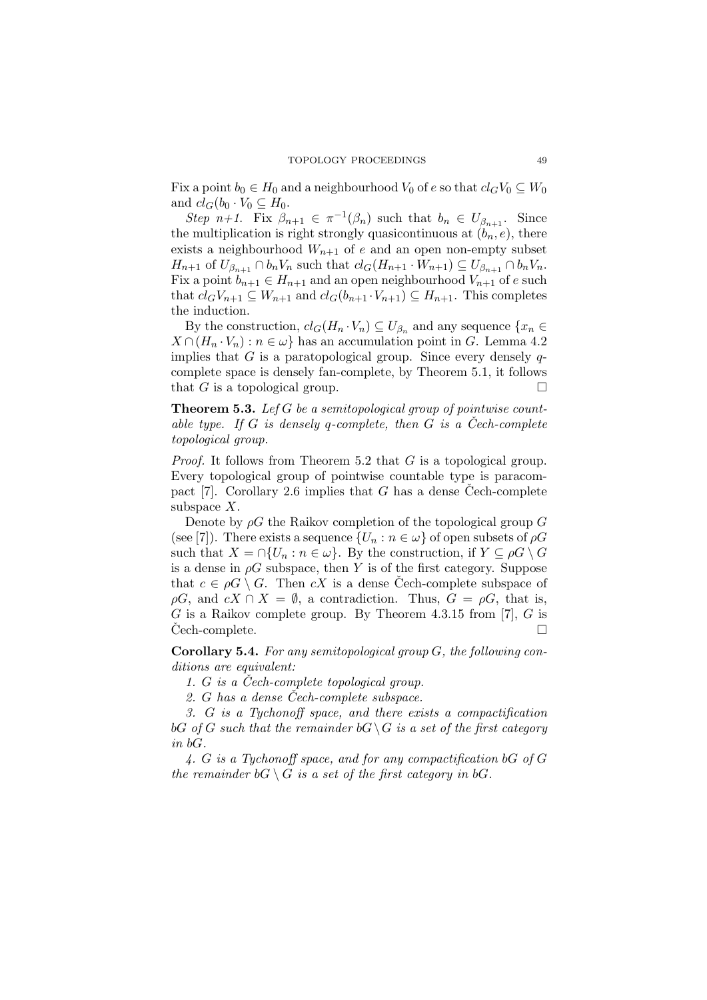Fix a point  $b_0 \in H_0$  and a neighbourhood  $V_0$  of  $e$  so that  $cl_GV_0 \subseteq W_0$ and  $cl_G(b_0 \cdot V_0 \subseteq H_0$ .

*Step n+1*. Fix  $\beta_{n+1} \in \pi^{-1}(\beta_n)$  such that  $b_n \in U_{\beta_{n+1}}$ . Since the multiplication is right strongly quasicontinuous at  $(b_n, e)$ , there exists a neighbourhood  $W_{n+1}$  of *e* and an open non-empty subset  $H_{n+1}$  of  $U_{\beta_{n+1}} \cap b_n V_n$  such that  $cl_G(H_{n+1} \cdot W_{n+1}) \subseteq U_{\beta_{n+1}} \cap b_n V_n$ . Fix a point  $b_{n+1} \in H_{n+1}$  and an open neighbourhood  $V_{n+1}$  of *e* such that  $cl_GV_{n+1} \subseteq W_{n+1}$  and  $cl_G(b_{n+1} \cdot V_{n+1}) \subseteq H_{n+1}$ . This completes the induction.

By the construction,  $cl_G(H_n \cdot V_n) \subseteq U_{\beta_n}$  and any sequence  $\{x_n \in$  $X \cap (H_n \cdot V_n) : n \in \omega$  has an accumulation point in *G*. Lemma 4.2 implies that *G* is a paratopological group. Since every densely *q*complete space is densely fan-complete, by Theorem 5.1, it follows that *G* is a topological group.  $\square$ 

**Theorem 5.3.** *Lef G be a semitopological group of pointwise countable type.* If  $G$  *is densely*  $q$ -complete, then  $G$  *is a* Cech-complete *topological group.*

*Proof.* It follows from Theorem 5.2 that *G* is a topological group. Every topological group of pointwise countable type is paracompact [7]. Corollary 2.6 implies that  $G$  has a dense Cech-complete subspace *X*.

Denote by *ρG* the Raikov completion of the topological group *G* (see [7]). There exists a sequence  $\{U_n : n \in \omega\}$  of open subsets of  $\rho G$ such that  $X = \bigcap \{U_n : n \in \omega\}$ . By the construction, if  $Y \subseteq \rho G \setminus G$ is a dense in  $\rho G$  subspace, then *Y* is of the first category. Suppose that  $c \in \rho G \setminus G$ . Then  $cX$  is a dense Cech-complete subspace of  $\rho G$ , and  $cX \cap X = \emptyset$ , a contradiction. Thus,  $G = \rho G$ , that is, *G* is a Raikov complete group. By Theorem 4.3.15 from [7], *G* is Cech-complete.

**Corollary 5.4.** *For any semitopological group G, the following conditions are equivalent:*

*1. G is a Cech-complete topological group. ˇ*

*2. G has a dense Cech-complete subspace. ˇ*

*3. G is a Tychonoff space, and there exists a compactification bG of G such that the remainder*  $bG \setminus G$  *is a set of the first category in bG.*

*4. G is a Tychonoff space, and for any compactification bG of G the remainder*  $bG \setminus G$  *is a set of the first category in*  $bG$ *.*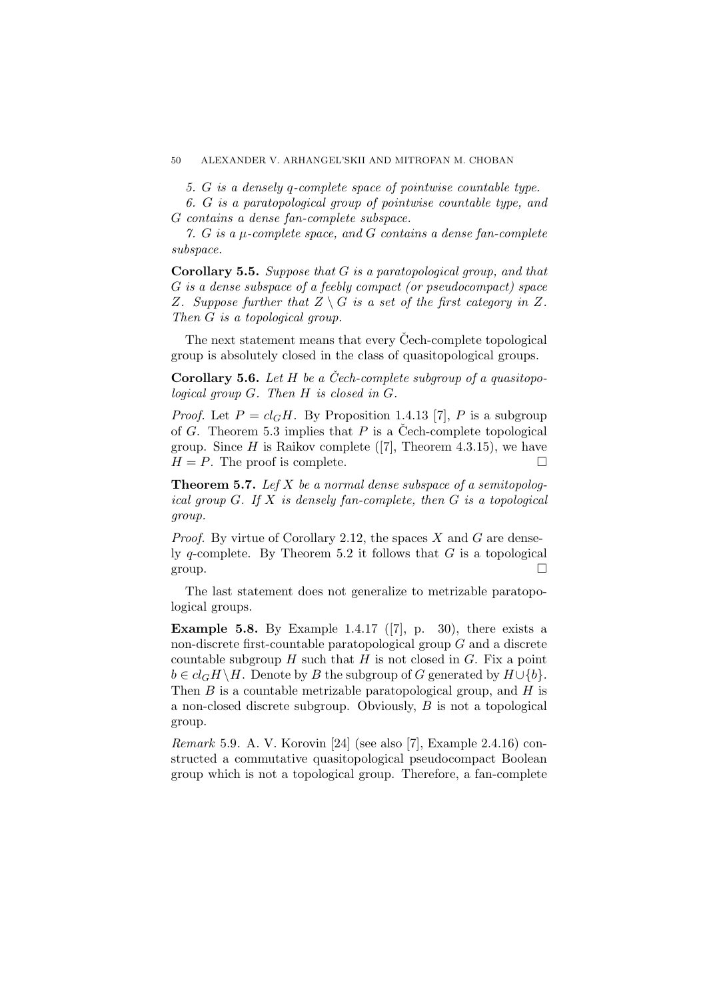*5. G is a densely q-complete space of pointwise countable type.*

*6. G is a paratopological group of pointwise countable type, and G contains a dense fan-complete subspace.*

*7. G is a µ-complete space, and G contains a dense fan-complete subspace.*

**Corollary 5.5.** *Suppose that G is a paratopological group, and that G is a dense subspace of a feebly compact (or pseudocompact) space Z. Suppose further that*  $Z \setminus G$  *is a set of the first category in*  $Z$ *. Then G is a topological group.*

The next statement means that every Cech-complete topological group is absolutely closed in the class of quasitopological groups.

**Corollary 5.6.** *Let H be a Cech-complete subgroup of a quasitopo- ˇ logical group G. Then H is closed in G.*

*Proof.* Let  $P = cl_G H$ . By Proposition 1.4.13 [7], P is a subgroup of *G*. Theorem 5.3 implies that *P* is a Čech-complete topological group. Since  $H$  is Raikov complete ([7], Theorem 4.3.15), we have  $H = P$ . The proof is complete.

**Theorem 5.7.** *Lef X be a normal dense subspace of a semitopological group G. If X is densely fan-complete, then G is a topological group.*

*Proof.* By virtue of Corollary 2.12, the spaces *X* and *G* are densely *q*-complete. By Theorem 5.2 it follows that *G* is a topological group.  $\Box$ 

The last statement does not generalize to metrizable paratopological groups.

**Example 5.8.** By Example 1.4.17 ([7], p. 30), there exists a non-discrete first-countable paratopological group *G* and a discrete countable subgroup  $H$  such that  $H$  is not closed in  $G$ . Fix a point  $b \in cl_G H \backslash H$ . Denote by *B* the subgroup of *G* generated by  $H \cup \{b\}$ . Then *B* is a countable metrizable paratopological group, and *H* is a non-closed discrete subgroup. Obviously, *B* is not a topological group.

*Remark* 5.9*.* A. V. Korovin [24] (see also [7], Example 2.4.16) constructed a commutative quasitopological pseudocompact Boolean group which is not a topological group. Therefore, a fan-complete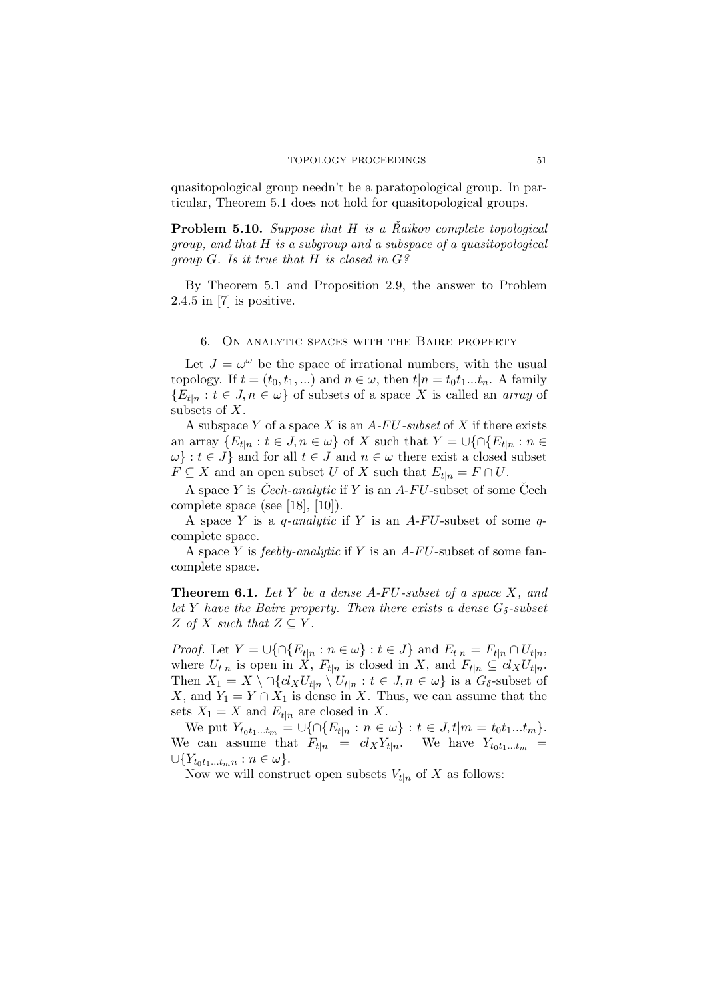quasitopological group needn't be a paratopological group. In particular, Theorem 5.1 does not hold for quasitopological groups.

**Problem 5.10.** *Suppose that H is a Raikov complete topological group, and that H is a subgroup and a subspace of a quasitopological group G. Is it true that H is closed in G?*

By Theorem 5.1 and Proposition 2.9, the answer to Problem 2.4.5 in [7] is positive.

#### 6. On analytic spaces with the Baire property

Let  $J = \omega^{\omega}$  be the space of irrational numbers, with the usual topology. If  $t = (t_0, t_1, \ldots)$  and  $n \in \omega$ , then  $t|n = t_0 t_1 \ldots t_n$ . A family  ${E_{t|n} : t \in J, n \in \omega}$  of subsets of a space *X* is called an *array* of subsets of *X*.

A subspace *Y* of a space *X* is an *A-F U-subset* of *X* if there exists an array  ${E_{t|n} : t \in J, n \in \omega}$  of *X* such that  $Y = \bigcup \{ \bigcap E_{t|n} : n \in \omega \}$  $\omega$ *}* : *t*  $\in$  *J}* and for all *t*  $\in$  *J* and *n*  $\in$  *ω* there exist a closed subset  $F \subseteq X$  and an open subset *U* of *X* such that  $E_{t|n} = F \cap U$ .

A space *Y* is *Cech-analytic* if *Y* is an *A-FU*-subset of some Cech complete space (see [18], [10]).

A space *Y* is a *q-analytic* if *Y* is an *A*-*F U*-subset of some *q*complete space.

A space *Y* is *feebly-analytic* if *Y* is an *A*-*F U*-subset of some fancomplete space.

**Theorem 6.1.** *Let Y be a dense A-F U-subset of a space X, and let Y have the Baire property. Then there exists a dense*  $G_{\delta}$ -subset  $Z$  *of*  $X$  *such that*  $Z \subseteq Y$ *.* 

*Proof.* Let  $Y = \bigcup \{ \cap \{E_{t|n} : n \in \omega\} : t \in J \}$  and  $E_{t|n} = F_{t|n} \cap U_{t|n}$ , where  $U_{t|n}$  is open in *X*,  $F_{t|n}$  is closed in *X*, and  $F_{t|n} \subseteq cl_X U_{t|n}$ . Then  $X_1 = X \setminus \bigcap \{cl_X U_{t|n} \setminus U_{t|n} : t \in J, n \in \omega \}$  is a  $G_{\delta}$ -subset of *X*, and  $Y_1 = Y \cap X_1$  is dense in *X*. Thus, we can assume that the sets  $X_1 = X$  and  $E_{t|n}$  are closed in X.

We put  $Y_{t_0t_1...t_m} = \bigcup \{ \bigcap \{E_{t|n} : n \in \omega\} : t \in J, t | m = t_0t_1...t_m \}.$ We can assume that  $F_{t|n} = cl_X Y_{t|n}$ . We have  $Y_{t_0 t_1...t_m}$  $∪{Y_{t_0t_1...t_mn}: n ∈ ω}.$ 

Now we will construct open subsets  $V_{t|n}$  of X as follows: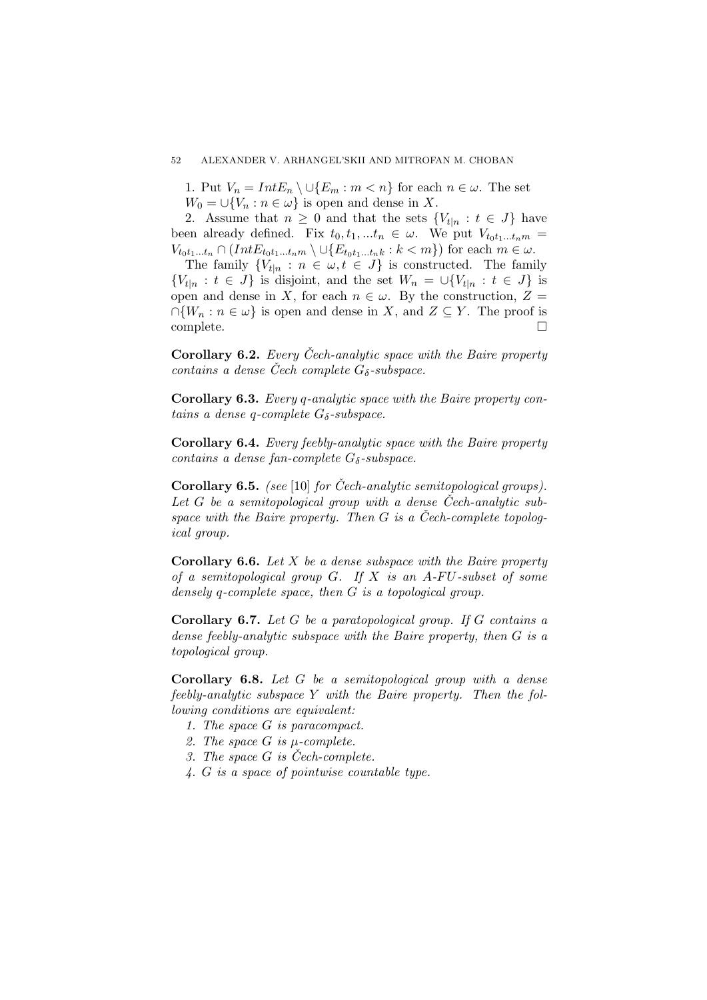1. Put  $V_n = Int E_n \setminus \cup \{E_m : m < n\}$  for each  $n \in \omega$ . The set  $W_0 = \bigcup \{V_n : n \in \omega\}$  is open and dense in *X*.

2. Assume that  $n \geq 0$  and that the sets  $\{V_{t|n} : t \in J\}$  have been already defined. Fix  $t_0, t_1, \ldots, t_n \in \omega$ . We put  $V_{t_0 t_1 \ldots t_n m}$  $V_{t_0t_1...t_n} \cap (IntE_{t_0t_1...t_n m} \setminus \bigcup \{E_{t_0t_1...t_n k}: k < m\})$  for each  $m \in \omega$ .

The family  ${V_t|_n : n \in \omega, t \in J}$  is constructed. The family  ${V_{t|n} : t \in J}$  is disjoint, and the set  $W_n = \bigcup {V_{t|n} : t \in J}$  is open and dense in *X*, for each  $n \in \omega$ . By the construction,  $Z =$  $∩{W_n : n \in \omega}$  is open and dense in *X*, and *Z*  $\subseteq$  *Y*. The proof is complete.

**Corollary 6.2.** *Every Cech-analytic space with the Baire property contains a dense Cech complete*  $G_{\delta}$ *-subspace.* 

**Corollary 6.3.** *Every q-analytic space with the Baire property contains a dense q-complete Gδ-subspace.*

**Corollary 6.4.** *Every feebly-analytic space with the Baire property contains a dense fan-complete*  $G_{\delta}$ -subspace.

**Corollary 6.5.** *(see* [10] *for Cech-analytic semitopological groups). ˇ Let G be a semitopological group with a dense Cech-analytic sub- ˇ space with the Baire property. Then G is a Cech-complete topolog- ˇ ical group.*

**Corollary 6.6.** *Let X be a dense subspace with the Baire property of a semitopological group G. If X is an A-F U-subset of some densely q-complete space, then G is a topological group.*

**Corollary 6.7.** *Let G be a paratopological group. If G contains a dense feebly-analytic subspace with the Baire property, then G is a topological group.*

**Corollary 6.8.** *Let G be a semitopological group with a dense feebly-analytic subspace Y with the Baire property. Then the following conditions are equivalent:*

- *1. The space G is paracompact.*
- *2. The space G is µ-complete.*
- *3. The space G is Cech-complete. ˇ*
- *4. G is a space of pointwise countable type.*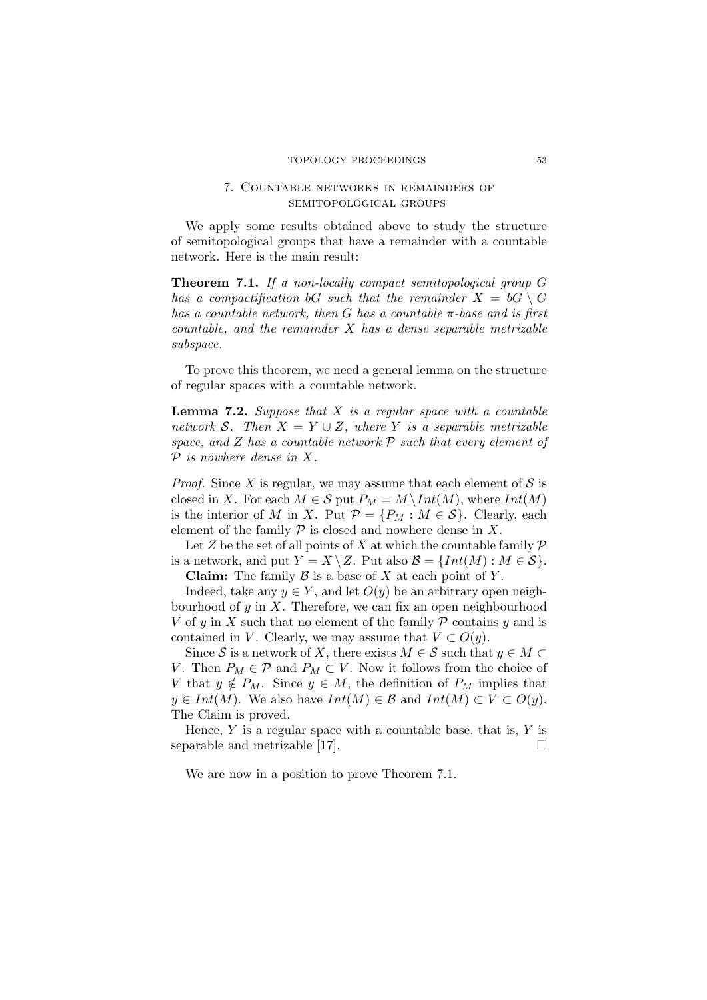# 7. Countable networks in remainders of semitopological groups

We apply some results obtained above to study the structure of semitopological groups that have a remainder with a countable network. Here is the main result:

**Theorem 7.1.** *If a non-locally compact semitopological group G has a compactification bG such that the remainder*  $X = \mathbf{b} \mathbf{G} \setminus \mathbf{G}$ *has a countable network, then G has a countable π-base and is first countable, and the remainder X has a dense separable metrizable subspace.*

To prove this theorem, we need a general lemma on the structure of regular spaces with a countable network.

**Lemma 7.2.** *Suppose that X is a regular space with a countable network S.* Then  $X = Y \cup Z$ *, where Y is a separable metrizable space, and Z has a countable network P such that every element of P is nowhere dense in X.*

*Proof.* Since *X* is regular, we may assume that each element of  $S$  is closed in *X*. For each  $M \in S$  put  $P_M = M \setminus Int(M)$ , where  $Int(M)$ is the interior of *M* in *X*. Put  $P = \{P_M : M \in \mathcal{S}\}\$ . Clearly, each element of the family  $P$  is closed and nowhere dense in  $X$ .

Let *Z* be the set of all points of *X* at which the countable family  $\mathcal P$ is a network, and put  $Y = X \setminus Z$ . Put also  $\mathcal{B} = \{Int(M) : M \in \mathcal{S}\}.$ **Claim:** The family *B* is a base of *X* at each point of *Y* .

Indeed, take any  $y \in Y$ , and let  $O(y)$  be an arbitrary open neighbourhood of *y* in *X*. Therefore, we can fix an open neighbourhood *V* of *y* in *X* such that no element of the family *P* contains *y* and is contained in *V*. Clearly, we may assume that  $V \subset O(y)$ .

Since S is a network of X, there exists  $M \in S$  such that  $y \in M \subset I$ *V*. Then  $P_M \in \mathcal{P}$  and  $P_M \subset V$ . Now it follows from the choice of *V* that  $y \notin P_M$ . Since  $y \in M$ , the definition of  $P_M$  implies that *y* ∈ *Int*(*M*). We also have *Int*(*M*) ∈ B and *Int*(*M*) ⊂  $V$  ⊂  $O(y)$ . The Claim is proved.

Hence, *Y* is a regular space with a countable base, that is, *Y* is separable and metrizable [17].  $\Box$ 

We are now in a position to prove Theorem 7.1.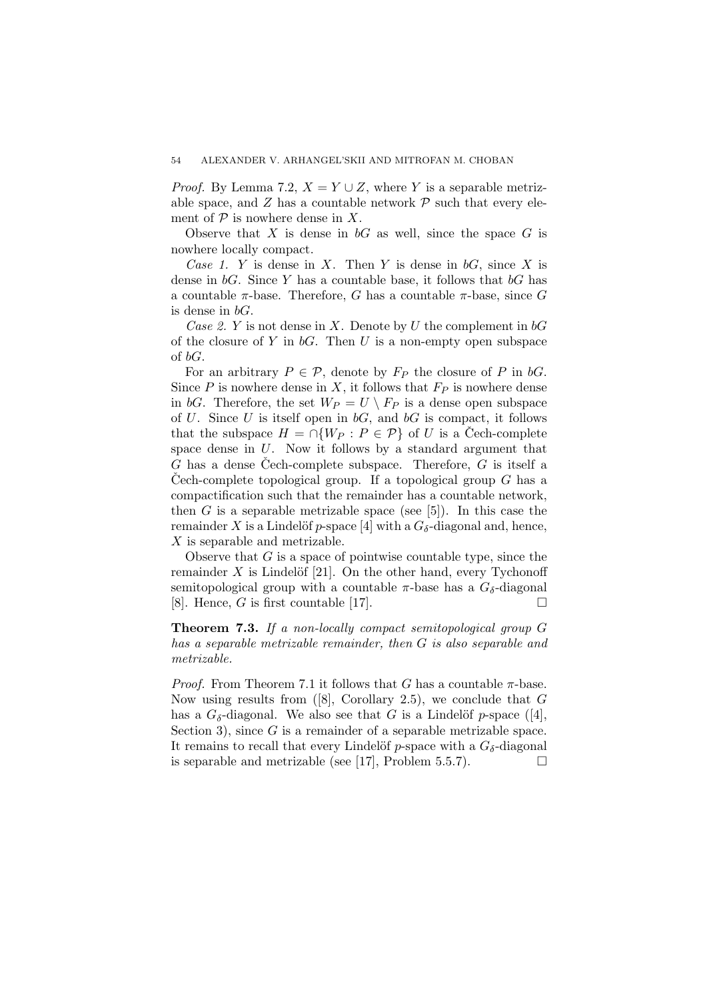*Proof.* By Lemma 7.2,  $X = Y \cup Z$ , where *Y* is a separable metrizable space, and  $Z$  has a countable network  $\mathcal P$  such that every element of  $P$  is nowhere dense in  $X$ .

Observe that  $X$  is dense in  $bG$  as well, since the space  $G$  is nowhere locally compact.

*Case 1. Y* is dense in *X*. Then *Y* is dense in *bG*, since *X* is dense in *bG*. Since *Y* has a countable base, it follows that *bG* has a countable *π*-base. Therefore, *G* has a countable *π*-base, since *G* is dense in *bG*.

*Case 2. Y* is not dense in *X*. Denote by *U* the complement in *bG* of the closure of *Y* in *bG*. Then *U* is a non-empty open subspace of *bG*.

For an arbitrary  $P \in \mathcal{P}$ , denote by  $F_P$  the closure of P in *bG*. Since  $P$  is nowhere dense in  $X$ , it follows that  $F_P$  is nowhere dense in *bG*. Therefore, the set  $W_P = U \setminus F_P$  is a dense open subspace of *U*. Since *U* is itself open in *bG*, and *bG* is compact, it follows that the subspace  $H = \bigcap \{W_P : P \in \mathcal{P}\}\$  of *U* is a Cech-complete space dense in *U*. Now it follows by a standard argument that  $G$  has a dense Cech-complete subspace. Therefore,  $G$  is itself a Cech-complete topological group. If a topological group  $G$  has a compactification such that the remainder has a countable network, then  $G$  is a separable metrizable space (see  $[5]$ ). In this case the remainder X is a Lindelöf *p*-space [4] with a  $G_{\delta}$ -diagonal and, hence, *X* is separable and metrizable.

Observe that *G* is a space of pointwise countable type, since the remainder  $X$  is Lindelöf [21]. On the other hand, every Tychonoff semitopological group with a countable  $\pi$ -base has a  $G_{\delta}$ -diagonal [8]. Hence, *G* is first countable [17].

**Theorem 7.3.** *If a non-locally compact semitopological group G has a separable metrizable remainder, then G is also separable and metrizable.*

*Proof.* From Theorem 7.1 it follows that *G* has a countable  $\pi$ -base. Now using results from ([8], Corollary 2.5), we conclude that *G* has a  $G_{\delta}$ -diagonal. We also see that *G* is a Lindelöf *p*-space ([4], Section 3), since *G* is a remainder of a separable metrizable space. It remains to recall that every Lindelöf *p*-space with a  $G_{\delta}$ -diagonal is separable and metrizable (see [17], Problem 5.5.7).  $\Box$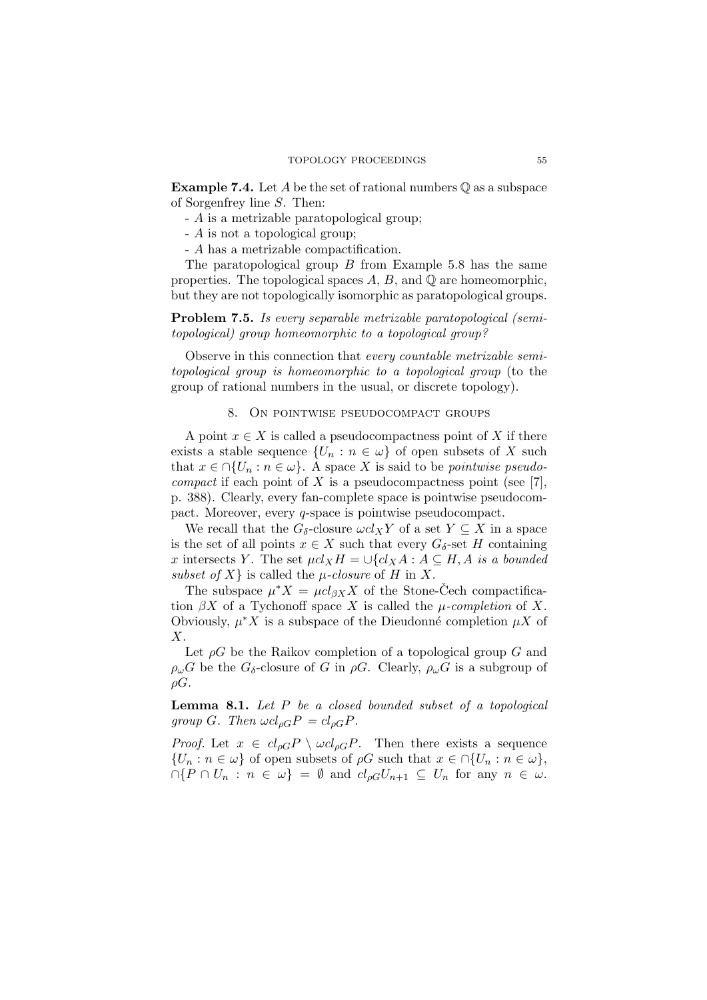**Example 7.4.** Let *A* be the set of rational numbers  $\mathbb{Q}$  as a subspace of Sorgenfrey line *S*. Then:

- *A* is a metrizable paratopological group;
- *A* is not a topological group;
- *A* has a metrizable compactification.

The paratopological group *B* from Example 5.8 has the same properties. The topological spaces  $A, B$ , and  $\mathbb{O}$  are homeomorphic, but they are not topologically isomorphic as paratopological groups.

**Problem 7.5.** *Is every separable metrizable paratopological (semitopological) group homeomorphic to a topological group?*

Observe in this connection that *every countable metrizable semitopological group is homeomorphic to a topological group* (to the group of rational numbers in the usual, or discrete topology).

### 8. On pointwise pseudocompact groups

A point  $x \in X$  is called a pseudocompactness point of X if there exists a stable sequence  $\{U_n : n \in \omega\}$  of open subsets of X such that  $x \in \bigcap \{U_n : n \in \omega\}$ . A space X is said to be *pointwise pseudocompact* if each point of *X* is a pseudocompactness point (see [7], p. 388). Clearly, every fan-complete space is pointwise pseudocompact. Moreover, every *q*-space is pointwise pseudocompact.

We recall that the  $G_{\delta}$ -closure  $\omega c l_X Y$  of a set  $Y \subseteq X$  in a space is the set of all points  $x \in X$  such that every  $G_{\delta}$ -set *H* containing *x* intersects *Y*. The set  $\mu cl_X H = \bigcup \{cl_X A : A \subseteq H, A \text{ is a bounded}$ *subset of*  $X$ } is called the  $\mu$ *-closure* of  $H$  in  $X$ .

The subspace  $\mu^* X = \mu c l_{\beta X} X$  of the Stone-Cech compactification  $\beta X$  of a Tychonoff space *X* is called the *µ*-completion of *X*. Obviously,  $\mu^* X$  is a subspace of the Dieudonné completion  $\mu X$  of *X*.

Let *ρG* be the Raikov completion of a topological group *G* and  $\rho_{\omega}G$  be the  $G_{\delta}$ -closure of *G* in  $\rho G$ . Clearly,  $\rho_{\omega}G$  is a subgroup of *ρG*.

**Lemma 8.1.** *Let P be a closed bounded subset of a topological group G.* Then  $\omega c l_{\rho G} P = c l_{\rho G} P$ .

*Proof.* Let  $x \in cl_{\rho G} P \setminus \omega cl_{\rho G} P$ . Then there exists a sequence  ${U_n : n \in \omega}$  of open subsets of  $\rho G$  such that  $x \in \Omega$  {*U<sub>n</sub>* :  $n \in \omega$ },  $\cap$ { $P \cap U_n : n \in \omega$ } =  $\emptyset$  and  $cl_{\rho G}U_{n+1} \subseteq U_n$  for any  $n \in \omega$ .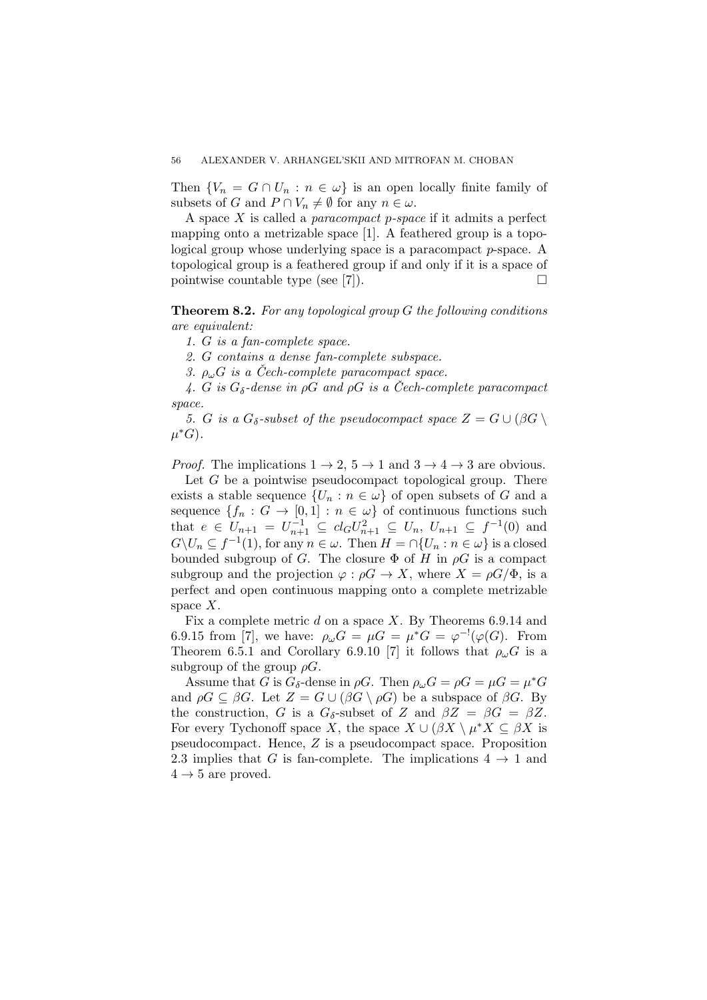Then  ${V_n = G \cap U_n : n \in \omega}$  is an open locally finite family of subsets of *G* and  $P \cap V_n \neq \emptyset$  for any  $n \in \omega$ .

A space *X* is called a *paracompact p-space* if it admits a perfect mapping onto a metrizable space [1]. A feathered group is a topological group whose underlying space is a paracompact *p*-space. A topological group is a feathered group if and only if it is a space of pointwise countable type (see [7]).

**Theorem 8.2.** *For any topological group G the following conditions are equivalent:*

*1. G is a fan-complete space.*

*2. G contains a dense fan-complete subspace.*

*3.*  $\rho_{\mu}$  $G$  *is a Čech-complete paracompact space.* 

4. *G* is  $G_{\delta}$ -dense in  $\rho G$  and  $\rho G$  is a Cech-complete paracompact *space.*

*5. G is a*  $G_{\delta}$ -subset of the pseudocompact space  $Z = G \cup (\beta G)$ *µ ∗G*)*.*

*Proof.* The implications  $1 \rightarrow 2$ ,  $5 \rightarrow 1$  and  $3 \rightarrow 4 \rightarrow 3$  are obvious.

Let *G* be a pointwise pseudocompact topological group. There exists a stable sequence  ${U_n : n \in \omega}$  of open subsets of *G* and a sequence  ${f_n : G \to [0,1] : n \in \omega}$  of continuous functions such that  $e \in U_{n+1} = U_{n+1}^{-1} \subseteq cl_G U_{n+1}^2 \subseteq U_n$ ,  $U_{n+1} \subseteq f^{-1}(0)$  and  $G\setminus U_n \subseteq f^{-1}(1)$ , for any  $n \in \omega$ . Then  $H = \cap \{U_n : n \in \omega\}$  is a closed bounded subgroup of *G*. The closure  $\Phi$  of *H* in  $\rho G$  is a compact subgroup and the projection  $\varphi : \rho G \to X$ , where  $X = \rho G/\Phi$ , is a perfect and open continuous mapping onto a complete metrizable space *X*.

Fix a complete metric *d* on a space *X*. By Theorems 6.9.14 and 6.9.15 from [7], we have:  $\rho_{\omega}G = \mu G = \mu^*G = \varphi^{-1}(\varphi(G))$ . From Theorem 6.5.1 and Corollary 6.9.10 [7] it follows that  $\rho_\omega G$  is a subgroup of the group  $\rho G$ .

Assume that *G* is  $G_{\delta}$ -dense in  $\rho G$ . Then  $\rho_{\omega} G = \rho G = \mu G = \mu^* G$ and  $\rho G \subseteq \beta G$ . Let  $Z = G \cup (\beta G \setminus \rho G)$  be a subspace of  $\beta G$ . By the construction, *G* is a  $G_{\delta}$ -subset of *Z* and  $\beta Z = \beta G = \beta Z$ . For every Tychonoff space *X*, the space  $X \cup (\beta X \setminus \mu^* X \subseteq \beta X$  is pseudocompact. Hence, *Z* is a pseudocompact space. Proposition 2.3 implies that *G* is fan-complete. The implications  $4 \rightarrow 1$  and  $4 \rightarrow 5$  are proved.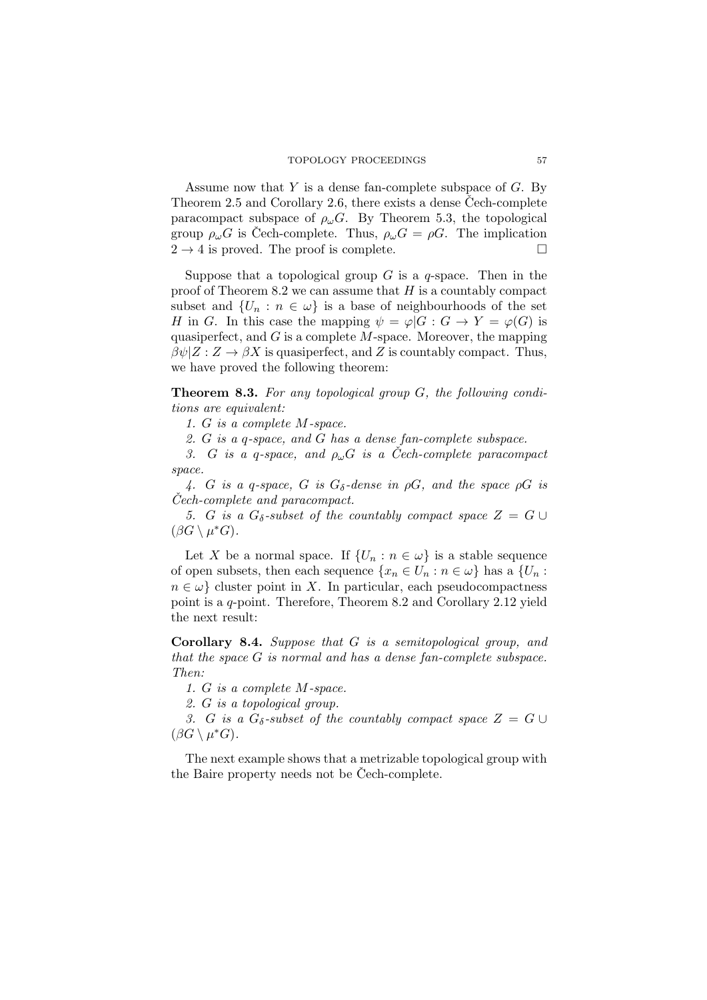Assume now that *Y* is a dense fan-complete subspace of *G*. By Theorem 2.5 and Corollary 2.6, there exists a dense Cech-complete paracompact subspace of  $\rho_{\omega}G$ . By Theorem 5.3, the topological group  $\rho_{\omega}G$  is Cech-complete. Thus,  $\rho_{\omega}G = \rho G$ . The implication  $2 \rightarrow 4$  is proved. The proof is complete.

Suppose that a topological group *G* is a *q*-space. Then in the proof of Theorem 8.2 we can assume that *H* is a countably compact subset and  $\{U_n : n \in \omega\}$  is a base of neighbourhoods of the set *H* in *G*. In this case the mapping  $\psi = \varphi | G : G \to Y = \varphi(G)$  is quasiperfect, and *G* is a complete *M*-space. Moreover, the mapping  $\beta \psi | Z : Z \to \beta X$  is quasiperfect, and *Z* is countably compact. Thus, we have proved the following theorem:

**Theorem 8.3.** *For any topological group G, the following conditions are equivalent:*

*1. G is a complete M-space.*

*2. G is a q-space, and G has a dense fan-complete subspace.*

*3. G is a q-space, and*  $\rho_{\omega}G$  *is a Cech-complete paracompact space.*

*4. G is a q-space, G is Gδ-dense in ρG, and the space ρG is Cech-complete and paracompact. ˇ*

*5. G is a*  $G_{\delta}$ -subset of the countably compact space  $Z = G \cup$  $(\beta G \setminus \mu^*G).$ 

Let *X* be a normal space. If  $\{U_n : n \in \omega\}$  is a stable sequence of open subsets, then each sequence  $\{x_n \in U_n : n \in \omega\}$  has a  $\{U_n : n \in \Omega\}$  $n \in \omega$  cluster point in *X*. In particular, each pseudocompactness point is a *q*-point. Therefore, Theorem 8.2 and Corollary 2.12 yield the next result:

**Corollary 8.4.** *Suppose that G is a semitopological group, and that the space G is normal and has a dense fan-complete subspace. Then:*

*1. G is a complete M-space.*

*2. G is a topological group.*

*3. G is a*  $G_{\delta}$ -subset of the countably compact space  $Z = G \cup$  $(\beta G \setminus \mu^*G).$ 

The next example shows that a metrizable topological group with the Baire property needs not be Cech-complete.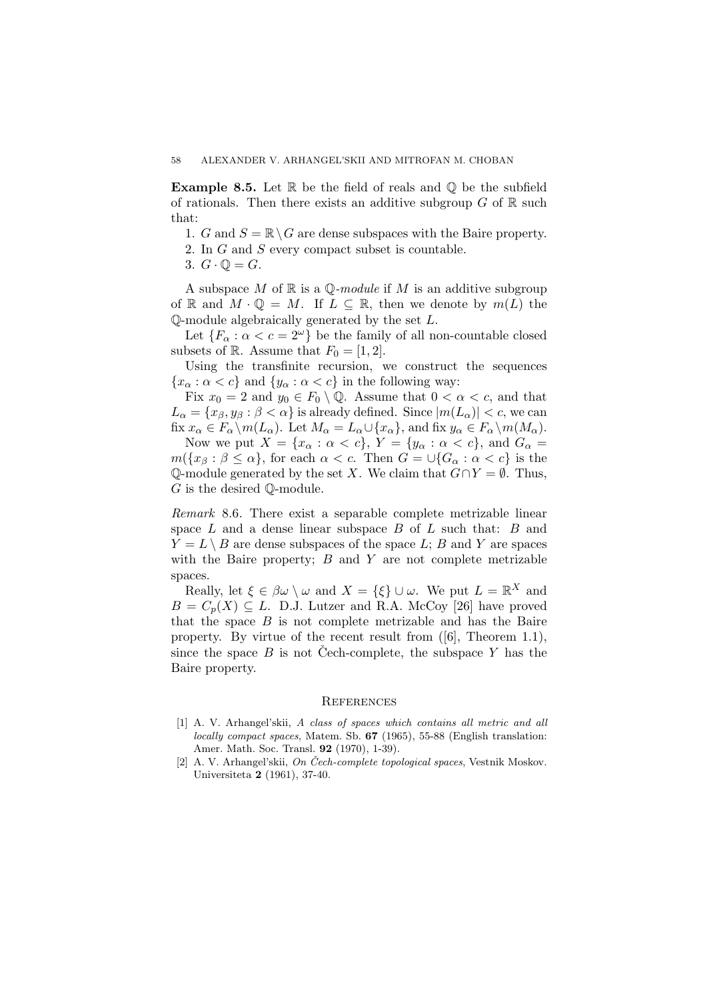**Example 8.5.** Let R be the field of reals and  $\mathbb{Q}$  be the subfield of rationals. Then there exists an additive subgroup  $G$  of  $\mathbb R$  such that:

- 1. *G* and  $S = \mathbb{R} \setminus G$  are dense subspaces with the Baire property.
- 2. In *G* and *S* every compact subset is countable.
- 3.  $G \cdot \mathbb{Q} = G$ .

A subspace *M* of R is a Q*-module* if *M* is an additive subgroup of R and  $M \cdot \mathbb{Q} = M$ . If  $L \subseteq \mathbb{R}$ , then we denote by  $m(L)$  the Q-module algebraically generated by the set *L*.

Let  ${F_\alpha : \alpha < c = 2^\omega}$  be the family of all non-countable closed subsets of R. Assume that  $F_0 = [1, 2]$ .

Using the transfinite recursion, we construct the sequences  ${x<sub>\alpha</sub> : \alpha < c}$  and  ${y<sub>\alpha</sub> : \alpha < c}$  in the following way:

Fix  $x_0 = 2$  and  $y_0 \in F_0 \setminus \mathbb{Q}$ . Assume that  $0 < \alpha < c$ , and that  $L_{\alpha} = \{x_{\beta}, y_{\beta} : \beta < \alpha\}$  is already defined. Since  $|m(L_{\alpha})| < c$ , we can fix  $x_{\alpha} \in F_{\alpha} \backslash m(L_{\alpha})$ . Let  $M_{\alpha} = L_{\alpha} \cup \{x_{\alpha}\}\$ , and fix  $y_{\alpha} \in F_{\alpha} \backslash m(M_{\alpha})$ .

Now we put  $X = \{x_\alpha : \alpha < c\}, Y = \{y_\alpha : \alpha < c\},\$  and  $G_\alpha =$  $m({x_{\beta}: \beta \leq \alpha}$ , for each  $\alpha < c$ . Then  $G = \cup {G_{\alpha}: \alpha < c}$  is the Q-module generated by the set *X*. We claim that *G∩Y* = *∅*. Thus, *G* is the desired Q-module.

*Remark* 8.6*.* There exist a separable complete metrizable linear space *L* and a dense linear subspace *B* of *L* such that: *B* and  $Y = L \setminus B$  are dense subspaces of the space *L*; *B* and *Y* are spaces with the Baire property; *B* and *Y* are not complete metrizable spaces.

Really, let  $\xi \in \beta \omega \setminus \omega$  and  $X = \{\xi\} \cup \omega$ . We put  $L = \mathbb{R}^X$  and  $B = C_p(X) \subseteq L$ . D.J. Lutzer and R.A. McCoy [26] have proved that the space  $B$  is not complete metrizable and has the Baire property. By virtue of the recent result from ([6], Theorem 1.1), since the space  $B$  is not Cech-complete, the subspace  $Y$  has the Baire property.

#### **REFERENCES**

- [1] A. V. Arhangel'skii, *A class of spaces which contains all metric and all locally compact spaces*, Matem. Sb. **67** (1965), 55-88 (English translation: Amer. Math. Soc. Transl. **92** (1970), 1-39).
- [2] A. V. Arhangel'skii, *On Čech-complete topological spaces*, Vestnik Moskov. Universiteta **2** (1961), 37-40.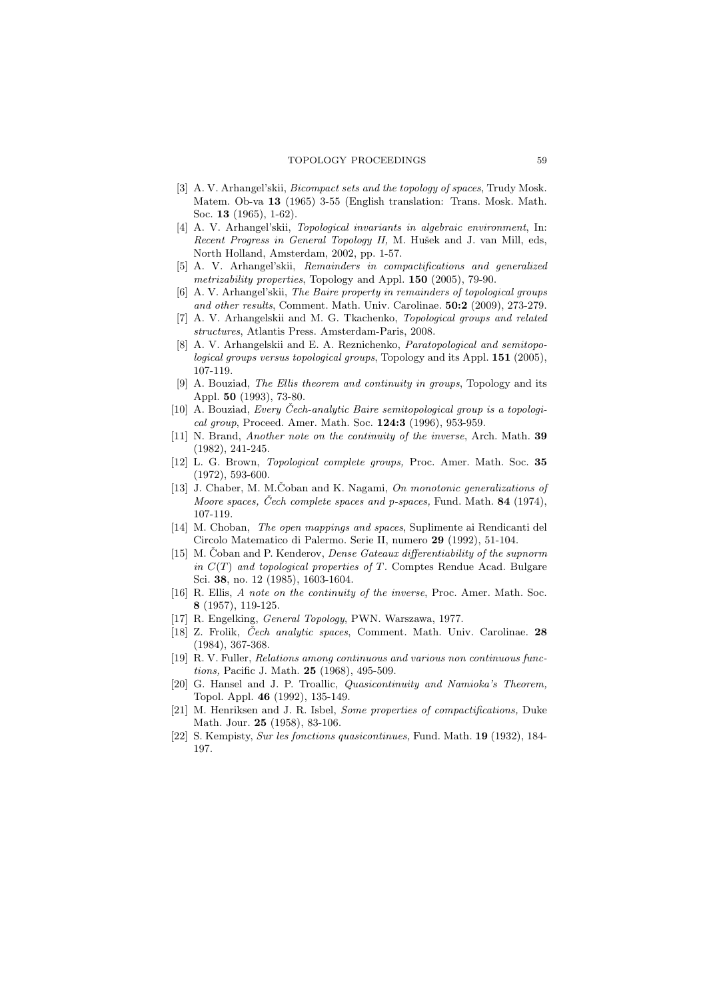- [3] A. V. Arhangel'skii, *Bicompact sets and the topology of spaces*, Trudy Mosk. Matem. Ob-va **13** (1965) 3-55 (English translation: Trans. Mosk. Math. Soc. **13** (1965), 1-62).
- [4] A. V. Arhangel'skii, *Topological invariants in algebraic environment*, In: *Recent Progress in General Topology II, M. Hušek and J. van Mill, eds.* North Holland, Amsterdam, 2002, pp. 1-57.
- [5] A. V. Arhangel'skii, *Remainders in compactifications and generalized metrizability properties*, Topology and Appl. **150** (2005), 79-90.
- [6] A. V. Arhangel'skii, *The Baire property in remainders of topological groups and other results*, Comment. Math. Univ. Carolinae. **50:2** (2009), 273-279.
- [7] A. V. Arhangelskii and M. G. Tkachenko, *Topological groups and related structures*, Atlantis Press. Amsterdam-Paris, 2008.
- [8] A. V. Arhangelskii and E. A. Reznichenko, *Paratopological and semitopological groups versus topological groups*, Topology and its Appl. **151** (2005), 107-119.
- [9] A. Bouziad, *The Ellis theorem and continuity in groups*, Topology and its Appl. **50** (1993), 73-80.
- [10] A. Bouziad, *Every Cech-analytic Baire semitopological group is a topologi- ˇ cal group*, Proceed. Amer. Math. Soc. **124:3** (1996), 953-959.
- [11] N. Brand, *Another note on the continuity of the inverse*, Arch. Math. **39** (1982), 241-245.
- [12] L. G. Brown, *Topological complete groups,* Proc. Amer. Math. Soc. **35** (1972), 593-600.
- [13] J. Chaber, M. M.Coban and K. Nagami, *On monotonic generalizations of Moore spaces, Cech complete spaces and p-spaces,* Fund. Math. **84** (1974), 107-119.
- [14] M. Choban, *The open mappings and spaces*, Suplimente ai Rendicanti del Circolo Matematico di Palermo. Serie II, numero **29** (1992), 51-104.
- [15] M. Čoban and P. Kenderov, *Dense Gateaux differentiability of the supnorm in C*(*T*) *and topological properties of T.* Comptes Rendue Acad. Bulgare Sci. **38**, no. 12 (1985), 1603-1604.
- [16] R. Ellis, *A note on the continuity of the inverse*, Proc. Amer. Math. Soc. **8** (1957), 119-125.
- [17] R. Engelking, *General Topology*, PWN. Warszawa, 1977.
- [18] Z. Frolik, *Cech analytic spaces ˇ* , Comment. Math. Univ. Carolinae. **28** (1984), 367-368.
- [19] R. V. Fuller, *Relations among continuous and various non continuous functions,* Pacific J. Math. **25** (1968), 495-509.
- [20] G. Hansel and J. P. Troallic, *Quasicontinuity and Namioka's Theorem,* Topol. Appl. **46** (1992), 135-149.
- [21] M. Henriksen and J. R. Isbel, *Some properties of compactifications,* Duke Math. Jour. **25** (1958), 83-106.
- [22] S. Kempisty, *Sur les fonctions quasicontinues,* Fund. Math. **19** (1932), 184- 197.